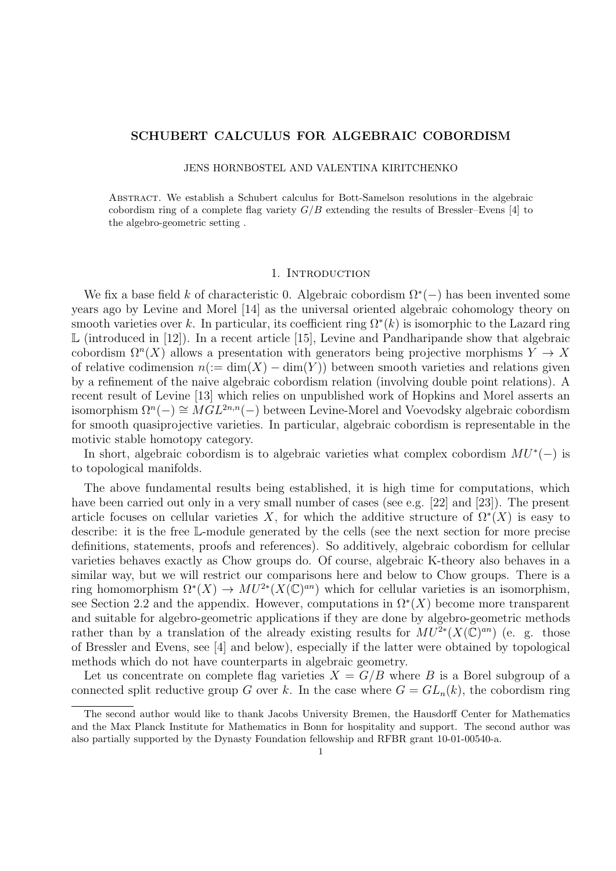# SCHUBERT CALCULUS FOR ALGEBRAIC COBORDISM

#### JENS HORNBOSTEL AND VALENTINA KIRITCHENKO

Abstract. We establish a Schubert calculus for Bott-Samelson resolutions in the algebraic cobordism ring of a complete flag variety  $G/B$  extending the results of Bressler–Evens [4] to the algebro-geometric setting .

#### 1. INTRODUCTION

We fix a base field k of characteristic 0. Algebraic cobordism  $\Omega^*(-)$  has been invented some years ago by Levine and Morel [14] as the universal oriented algebraic cohomology theory on smooth varieties over k. In particular, its coefficient ring  $\Omega^*(k)$  is isomorphic to the Lazard ring  $\mathbb L$  (introduced in [12]). In a recent article [15], Levine and Pandharipande show that algebraic cobordism  $\Omega^{n}(X)$  allows a presentation with generators being projective morphisms  $Y \to X$ of relative codimension  $n(:= \dim(X) - \dim(Y))$  between smooth varieties and relations given by a refinement of the naive algebraic cobordism relation (involving double point relations). A recent result of Levine [13] which relies on unpublished work of Hopkins and Morel asserts an isomorphism  $\Omega^n(-) \cong \overset{\circ}{M} \overset{\circ}{GL}^{2n,n}(-)$  between Levine-Morel and Voevodsky algebraic cobordism for smooth quasiprojective varieties. In particular, algebraic cobordism is representable in the motivic stable homotopy category.

In short, algebraic cobordism is to algebraic varieties what complex cobordism  $MU^*(-)$  is to topological manifolds.

The above fundamental results being established, it is high time for computations, which have been carried out only in a very small number of cases (see e.g. [22] and [23]). The present article focuses on cellular varieties X, for which the additive structure of  $\Omega^*(X)$  is easy to describe: it is the free L-module generated by the cells (see the next section for more precise definitions, statements, proofs and references). So additively, algebraic cobordism for cellular varieties behaves exactly as Chow groups do. Of course, algebraic K-theory also behaves in a similar way, but we will restrict our comparisons here and below to Chow groups. There is a ring homomorphism  $\Omega^*(X) \to MU^{2*}(X(\mathbb{C})^{an})$  which for cellular varieties is an isomorphism, see Section 2.2 and the appendix. However, computations in  $\Omega^*(X)$  become more transparent and suitable for algebro-geometric applications if they are done by algebro-geometric methods rather than by a translation of the already existing results for  $MU^{2*}(X(\mathbb{C})^{an})$  (e. g. those of Bressler and Evens, see [4] and below), especially if the latter were obtained by topological methods which do not have counterparts in algebraic geometry.

Let us concentrate on complete flag varieties  $X = G/B$  where B is a Borel subgroup of a connected split reductive group G over k. In the case where  $G = GL_n(k)$ , the cobordism ring

The second author would like to thank Jacobs University Bremen, the Hausdorff Center for Mathematics and the Max Planck Institute for Mathematics in Bonn for hospitality and support. The second author was also partially supported by the Dynasty Foundation fellowship and RFBR grant 10-01-00540-a.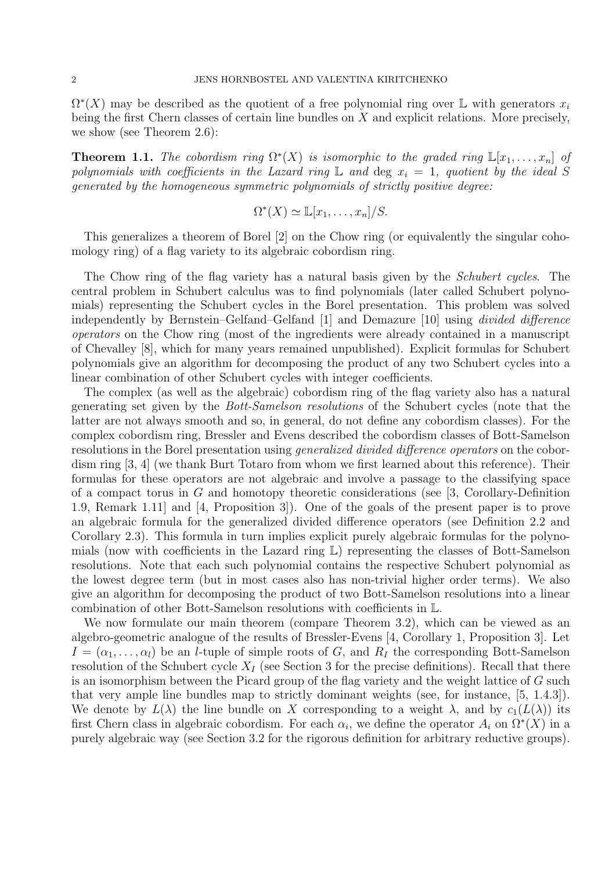$\Omega^*(X)$  may be described as the quotient of a free polynomial ring over L with generators  $x_i$ being the first Chern classes of certain line bundles on  $X$  and explicit relations. More precisely, we show (see Theorem 2.6):

**Theorem 1.1.** The cobordism ring  $\Omega^*(X)$  is isomorphic to the graded ring  $\mathbb{L}[x_1,\ldots,x_n]$  of polynomials with coefficients in the Lazard ring  $\mathbb L$  and deg  $x_i = 1$ , quotient by the ideal S generated by the homogeneous symmetric polynomials of strictly positive degree:

$$
\Omega^*(X) \simeq \mathbb{L}[x_1,\ldots,x_n]/S.
$$

This generalizes a theorem of Borel [2] on the Chow ring (or equivalently the singular cohomology ring) of a flag variety to its algebraic cobordism ring.

The Chow ring of the flag variety has a natural basis given by the Schubert cycles. The central problem in Schubert calculus was to find polynomials (later called Schubert polynomials) representing the Schubert cycles in the Borel presentation. This problem was solved independently by Bernstein–Gelfand–Gelfand [1] and Demazure [10] using divided difference operators on the Chow ring (most of the ingredients were already contained in a manuscript of Chevalley [8], which for many years remained unpublished). Explicit formulas for Schubert polynomials give an algorithm for decomposing the product of any two Schubert cycles into a linear combination of other Schubert cycles with integer coefficients.

The complex (as well as the algebraic) cobordism ring of the flag variety also has a natural generating set given by the Bott-Samelson resolutions of the Schubert cycles (note that the latter are not always smooth and so, in general, do not define any cobordism classes). For the complex cobordism ring, Bressler and Evens described the cobordism classes of Bott-Samelson resolutions in the Borel presentation using generalized divided difference operators on the cobordism ring [3, 4] (we thank Burt Totaro from whom we first learned about this reference). Their formulas for these operators are not algebraic and involve a passage to the classifying space of a compact torus in  $G$  and homotopy theoretic considerations (see [3, Corollary-Definition 1.9, Remark 1.11] and [4, Proposition 3]). One of the goals of the present paper is to prove an algebraic formula for the generalized divided difference operators (see Definition 2.2 and Corollary 2.3). This formula in turn implies explicit purely algebraic formulas for the polynomials (now with coefficients in the Lazard ring L) representing the classes of Bott-Samelson resolutions. Note that each such polynomial contains the respective Schubert polynomial as the lowest degree term (but in most cases also has non-trivial higher order terms). We also give an algorithm for decomposing the product of two Bott-Samelson resolutions into a linear combination of other Bott-Samelson resolutions with coefficients in L.

We now formulate our main theorem (compare Theorem 3.2), which can be viewed as an algebro-geometric analogue of the results of Bressler-Evens [4, Corollary 1, Proposition 3]. Let  $I = (\alpha_1, \ldots, \alpha_l)$  be an *l*-tuple of simple roots of G, and  $R_I$  the corresponding Bott-Samelson resolution of the Schubert cycle  $X_I$  (see Section 3 for the precise definitions). Recall that there is an isomorphism between the Picard group of the flag variety and the weight lattice of G such that very ample line bundles map to strictly dominant weights (see, for instance, [5, 1.4.3]). We denote by  $L(\lambda)$  the line bundle on X corresponding to a weight  $\lambda$ , and by  $c_1(L(\lambda))$  its first Chern class in algebraic cobordism. For each  $\alpha_i$ , we define the operator  $A_i$  on  $\Omega^*(X)$  in a purely algebraic way (see Section 3.2 for the rigorous definition for arbitrary reductive groups).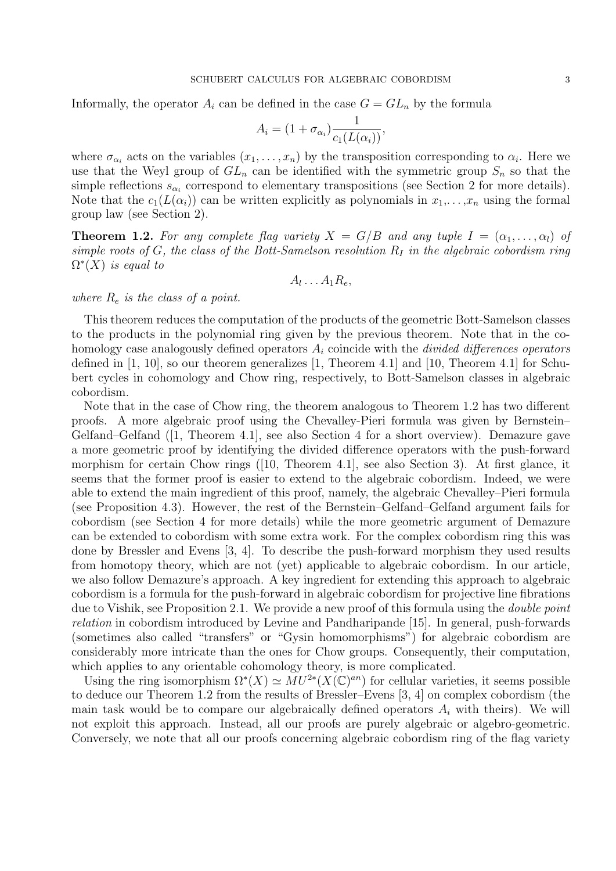Informally, the operator  $A_i$  can be defined in the case  $G = GL_n$  by the formula

$$
A_i = (1 + \sigma_{\alpha_i}) \frac{1}{c_1(L(\alpha_i))},
$$

where  $\sigma_{\alpha_i}$  acts on the variables  $(x_1, \ldots, x_n)$  by the transposition corresponding to  $\alpha_i$ . Here we use that the Weyl group of  $GL_n$  can be identified with the symmetric group  $S_n$  so that the simple reflections  $s_{\alpha_i}$  correspond to elementary transpositions (see Section 2 for more details). Note that the  $c_1(L(\alpha_i))$  can be written explicitly as polynomials in  $x_1, \ldots, x_n$  using the formal group law (see Section 2).

**Theorem 1.2.** For any complete flag variety  $X = G/B$  and any tuple  $I = (\alpha_1, \dots, \alpha_l)$  of simple roots of G, the class of the Bott-Samelson resolution  $R_I$  in the algebraic cobordism ring  $\Omega^*(X)$  is equal to

$$
A_l \ldots A_1 R_e,
$$

where  $R_e$  is the class of a point.

This theorem reduces the computation of the products of the geometric Bott-Samelson classes to the products in the polynomial ring given by the previous theorem. Note that in the cohomology case analogously defined operators  $A_i$  coincide with the *divided differences operators* defined in [1, 10], so our theorem generalizes [1, Theorem 4.1] and [10, Theorem 4.1] for Schubert cycles in cohomology and Chow ring, respectively, to Bott-Samelson classes in algebraic cobordism.

Note that in the case of Chow ring, the theorem analogous to Theorem 1.2 has two different proofs. A more algebraic proof using the Chevalley-Pieri formula was given by Bernstein– Gelfand–Gelfand ([1, Theorem 4.1], see also Section 4 for a short overview). Demazure gave a more geometric proof by identifying the divided difference operators with the push-forward morphism for certain Chow rings ([10, Theorem 4.1], see also Section 3). At first glance, it seems that the former proof is easier to extend to the algebraic cobordism. Indeed, we were able to extend the main ingredient of this proof, namely, the algebraic Chevalley–Pieri formula (see Proposition 4.3). However, the rest of the Bernstein–Gelfand–Gelfand argument fails for cobordism (see Section 4 for more details) while the more geometric argument of Demazure can be extended to cobordism with some extra work. For the complex cobordism ring this was done by Bressler and Evens [3, 4]. To describe the push-forward morphism they used results from homotopy theory, which are not (yet) applicable to algebraic cobordism. In our article, we also follow Demazure's approach. A key ingredient for extending this approach to algebraic cobordism is a formula for the push-forward in algebraic cobordism for projective line fibrations due to Vishik, see Proposition 2.1. We provide a new proof of this formula using the *double point* relation in cobordism introduced by Levine and Pandharipande [15]. In general, push-forwards (sometimes also called "transfers" or "Gysin homomorphisms") for algebraic cobordism are considerably more intricate than the ones for Chow groups. Consequently, their computation, which applies to any orientable cohomology theory, is more complicated.

Using the ring isomorphism  $\Omega^*(X) \simeq MU^{2*}(X(\mathbb{C})^{an})$  for cellular varieties, it seems possible to deduce our Theorem 1.2 from the results of Bressler–Evens [3, 4] on complex cobordism (the main task would be to compare our algebraically defined operators  $A_i$  with theirs). We will not exploit this approach. Instead, all our proofs are purely algebraic or algebro-geometric. Conversely, we note that all our proofs concerning algebraic cobordism ring of the flag variety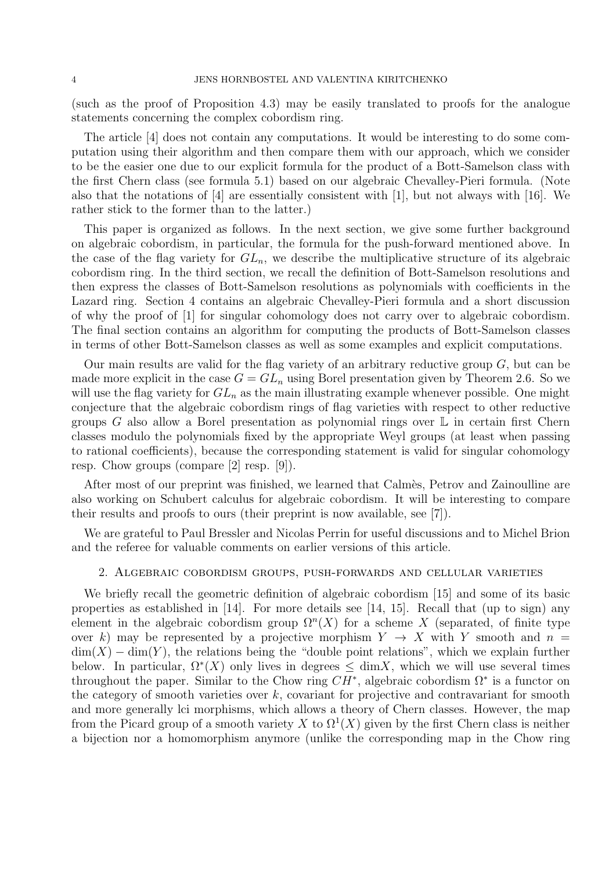(such as the proof of Proposition 4.3) may be easily translated to proofs for the analogue statements concerning the complex cobordism ring.

The article [4] does not contain any computations. It would be interesting to do some computation using their algorithm and then compare them with our approach, which we consider to be the easier one due to our explicit formula for the product of a Bott-Samelson class with the first Chern class (see formula 5.1) based on our algebraic Chevalley-Pieri formula. (Note also that the notations of [4] are essentially consistent with [1], but not always with [16]. We rather stick to the former than to the latter.)

This paper is organized as follows. In the next section, we give some further background on algebraic cobordism, in particular, the formula for the push-forward mentioned above. In the case of the flag variety for  $GL_n$ , we describe the multiplicative structure of its algebraic cobordism ring. In the third section, we recall the definition of Bott-Samelson resolutions and then express the classes of Bott-Samelson resolutions as polynomials with coefficients in the Lazard ring. Section 4 contains an algebraic Chevalley-Pieri formula and a short discussion of why the proof of [1] for singular cohomology does not carry over to algebraic cobordism. The final section contains an algorithm for computing the products of Bott-Samelson classes in terms of other Bott-Samelson classes as well as some examples and explicit computations.

Our main results are valid for the flag variety of an arbitrary reductive group  $G$ , but can be made more explicit in the case  $G = GL_n$  using Borel presentation given by Theorem 2.6. So we will use the flag variety for  $GL_n$  as the main illustrating example whenever possible. One might conjecture that the algebraic cobordism rings of flag varieties with respect to other reductive groups G also allow a Borel presentation as polynomial rings over  $\mathbb L$  in certain first Chern classes modulo the polynomials fixed by the appropriate Weyl groups (at least when passing to rational coefficients), because the corresponding statement is valid for singular cohomology resp. Chow groups (compare [2] resp. [9]).

After most of our preprint was finished, we learned that Calmes, Petrov and Zainoulline are also working on Schubert calculus for algebraic cobordism. It will be interesting to compare their results and proofs to ours (their preprint is now available, see [7]).

We are grateful to Paul Bressler and Nicolas Perrin for useful discussions and to Michel Brion and the referee for valuable comments on earlier versions of this article.

# 2. Algebraic cobordism groups, push-forwards and cellular varieties

We briefly recall the geometric definition of algebraic cobordism [15] and some of its basic properties as established in  $[14]$ . For more details see  $[14, 15]$ . Recall that (up to sign) any element in the algebraic cobordism group  $\Omega^{n}(X)$  for a scheme X (separated, of finite type over k) may be represented by a projective morphism  $Y \rightarrow X$  with Y smooth and  $n =$  $\dim(X) - \dim(Y)$ , the relations being the "double point relations", which we explain further below. In particular,  $\Omega^*(X)$  only lives in degrees  $\leq \dim X$ , which we will use several times throughout the paper. Similar to the Chow ring  $CH^*$ , algebraic cobordism  $\Omega^*$  is a functor on the category of smooth varieties over  $k$ , covariant for projective and contravariant for smooth and more generally lci morphisms, which allows a theory of Chern classes. However, the map from the Picard group of a smooth variety X to  $\Omega^1(X)$  given by the first Chern class is neither a bijection nor a homomorphism anymore (unlike the corresponding map in the Chow ring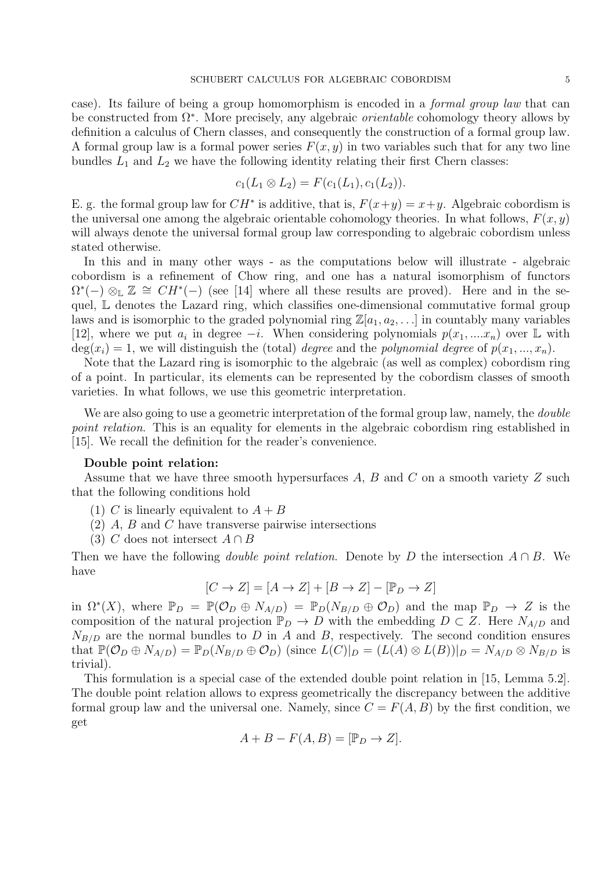case). Its failure of being a group homomorphism is encoded in a formal group law that can be constructed from  $\Omega^*$ . More precisely, any algebraic *orientable* cohomology theory allows by definition a calculus of Chern classes, and consequently the construction of a formal group law. A formal group law is a formal power series  $F(x, y)$  in two variables such that for any two line bundles  $L_1$  and  $L_2$  we have the following identity relating their first Chern classes:

$$
c_1(L_1 \otimes L_2) = F(c_1(L_1), c_1(L_2)).
$$

E. g. the formal group law for  $CH^*$  is additive, that is,  $F(x+y) = x+y$ . Algebraic cobordism is the universal one among the algebraic orientable cohomology theories. In what follows,  $F(x, y)$ will always denote the universal formal group law corresponding to algebraic cobordism unless stated otherwise.

In this and in many other ways - as the computations below will illustrate - algebraic cobordism is a refinement of Chow ring, and one has a natural isomorphism of functors  $\Omega^*(-) \otimes_{\mathbb{L}} \mathbb{Z} \cong CH^*(-)$  (see [14] where all these results are proved). Here and in the sequel, L denotes the Lazard ring, which classifies one-dimensional commutative formal group laws and is isomorphic to the graded polynomial ring  $\mathbb{Z}[a_1, a_2, \ldots]$  in countably many variables [12], where we put  $a_i$  in degree  $-i$ . When considering polynomials  $p(x_1, ... x_n)$  over L with  $deg(x_i) = 1$ , we will distinguish the (total) *degree* and the *polynomial degree* of  $p(x_1, ..., x_n)$ .

Note that the Lazard ring is isomorphic to the algebraic (as well as complex) cobordism ring of a point. In particular, its elements can be represented by the cobordism classes of smooth varieties. In what follows, we use this geometric interpretation.

We are also going to use a geometric interpretation of the formal group law, namely, the *double* point relation. This is an equality for elements in the algebraic cobordism ring established in [15]. We recall the definition for the reader's convenience.

#### Double point relation:

Assume that we have three smooth hypersurfaces  $A, B$  and  $C$  on a smooth variety  $Z$  such that the following conditions hold

- (1) C is linearly equivalent to  $A + B$
- (2) A, B and C have transverse pairwise intersections
- (3) C does not intersect  $A \cap B$

Then we have the following *double point relation*. Denote by D the intersection  $A \cap B$ . We have

$$
[C \to Z] = [A \to Z] + [B \to Z] - [\mathbb{P}_D \to Z]
$$

in  $\Omega^*(X)$ , where  $\mathbb{P}_D = \mathbb{P}(\mathcal{O}_D \oplus N_{A/D}) = \mathbb{P}_D(N_{B/D} \oplus \mathcal{O}_D)$  and the map  $\mathbb{P}_D \to Z$  is the composition of the natural projection  $\mathbb{P}_D \to D$  with the embedding  $D \subset Z$ . Here  $N_{A/D}$  and  $N_{B/D}$  are the normal bundles to D in A and B, respectively. The second condition ensures that  $\mathbb{P}(\mathcal{O}_D \oplus N_{A/D}) = \mathbb{P}_D(N_{B/D} \oplus \mathcal{O}_D)$  (since  $L(C)|_D = (L(A) \otimes L(B))|_D = N_{A/D} \otimes N_{B/D}$  is trivial).

This formulation is a special case of the extended double point relation in [15, Lemma 5.2]. The double point relation allows to express geometrically the discrepancy between the additive formal group law and the universal one. Namely, since  $C = F(A, B)$  by the first condition, we get

$$
A + B - F(A, B) = [\mathbb{P}_D \to Z].
$$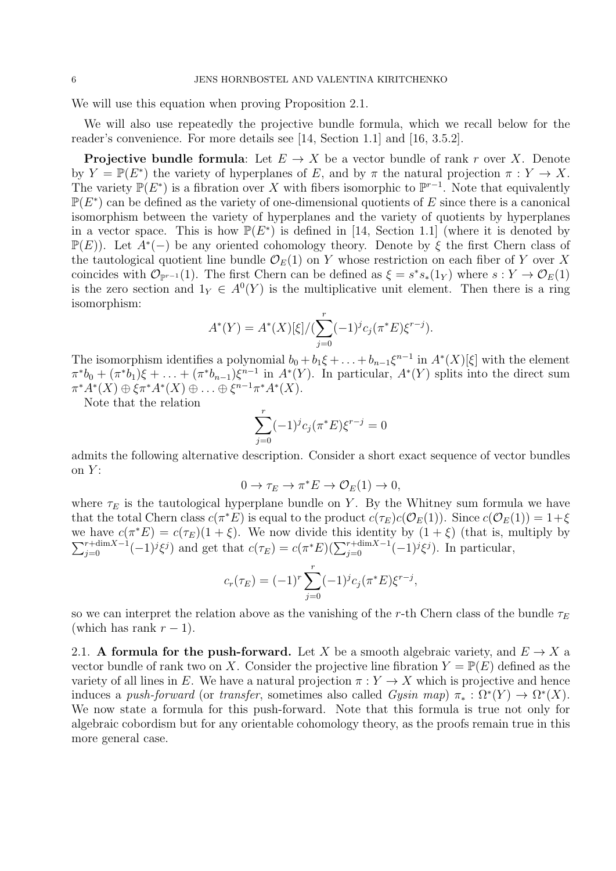We will use this equation when proving Proposition 2.1.

We will also use repeatedly the projective bundle formula, which we recall below for the reader's convenience. For more details see [14, Section 1.1] and [16, 3.5.2].

**Projective bundle formula:** Let  $E \to X$  be a vector bundle of rank r over X. Denote by  $Y = \mathbb{P}(E^*)$  the variety of hyperplanes of E, and by  $\pi$  the natural projection  $\pi : Y \to X$ . The variety  $\mathbb{P}(E^*)$  is a fibration over X with fibers isomorphic to  $\mathbb{P}^{r-1}$ . Note that equivalently  $\mathbb{P}(E^*)$  can be defined as the variety of one-dimensional quotients of E since there is a canonical isomorphism between the variety of hyperplanes and the variety of quotients by hyperplanes in a vector space. This is how  $\mathbb{P}(E^*)$  is defined in [14, Section 1.1] (where it is denoted by  $\mathbb{P}(E)$ ). Let  $A^*(-)$  be any oriented cohomology theory. Denote by  $\xi$  the first Chern class of the tautological quotient line bundle  $\mathcal{O}_E(1)$  on Y whose restriction on each fiber of Y over X coincides with  $\mathcal{O}_{\mathbb{P}^{r-1}}(1)$ . The first Chern can be defined as  $\xi = s^*s_*(1_Y)$  where  $s: Y \to \mathcal{O}_E(1)$ is the zero section and  $1_Y \in A^0(Y)$  is the multiplicative unit element. Then there is a ring isomorphism:

$$
A^*(Y) = A^*(X)[\xi]/(\sum_{j=0}^r (-1)^j c_j(\pi^*E)\xi^{r-j}).
$$

The isomorphism identifies a polynomial  $b_0 + b_1\xi + \ldots + b_{n-1}\xi^{n-1}$  in  $A^*(X)[\xi]$  with the element  $\pi^*b_0 + (\pi^*b_1)\xi + \ldots + (\pi^*b_{n-1})\xi^{n-1}$  in  $A^*(Y)$ . In particular,  $A^*(Y)$  splits into the direct sum  $\pi^*A^*(X) \oplus \xi \pi^*A^*(X) \oplus \ldots \oplus \xi^{n-1} \pi^*A^*(X).$ 

Note that the relation

$$
\sum_{j=0}^{r} (-1)^{j} c_{j} (\pi^* E) \xi^{r-j} = 0
$$

admits the following alternative description. Consider a short exact sequence of vector bundles on  $Y$ :

$$
0 \to \tau_E \to \pi^* E \to \mathcal{O}_E(1) \to 0,
$$

where  $\tau_E$  is the tautological hyperplane bundle on Y. By the Whitney sum formula we have that the total Chern class  $c(\pi^*E)$  is equal to the product  $c(\tau_E)c(\mathcal{O}_E(1))$ . Since  $c(\mathcal{O}_E(1)) = 1+\xi$ we have  $c(\pi^*E) = c(\tau_E)(1+\xi)$ . We now divide this identity by  $(1+\xi)$  (that is, multiply by  $\sum_{j=0}^{r+\dim X-1}(-1)^j\xi^j$  and get that  $c(\tau_E) = c(\pi^*E)(\sum_{j=0}^{r+\dim X-1}(-1)^j\xi^j)$ . In particular,

$$
c_r(\tau_E) = (-1)^r \sum_{j=0}^r (-1)^j c_j(\pi^* E) \xi^{r-j},
$$

so we can interpret the relation above as the vanishing of the r-th Chern class of the bundle  $\tau_E$ (which has rank  $r - 1$ ).

2.1. A formula for the push-forward. Let X be a smooth algebraic variety, and  $E \to X$  a vector bundle of rank two on X. Consider the projective line fibration  $Y = \mathbb{P}(E)$  defined as the variety of all lines in E. We have a natural projection  $\pi: Y \to X$  which is projective and hence induces a push-forward (or transfer, sometimes also called  $Gysin$  map)  $\pi_* : \Omega^*(Y) \to \Omega^*(X)$ . We now state a formula for this push-forward. Note that this formula is true not only for algebraic cobordism but for any orientable cohomology theory, as the proofs remain true in this more general case.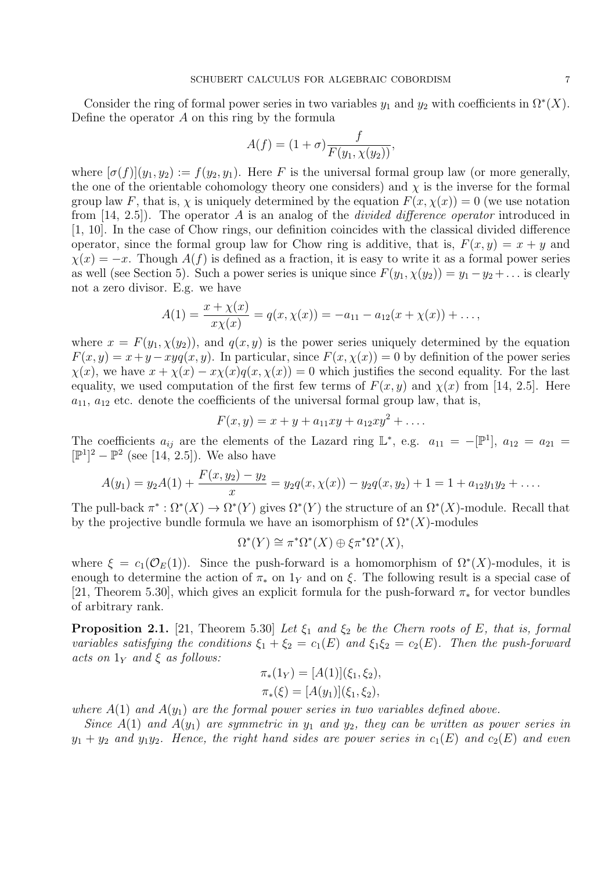Consider the ring of formal power series in two variables  $y_1$  and  $y_2$  with coefficients in  $\Omega^*(X)$ . Define the operator  $A$  on this ring by the formula

$$
A(f) = (1 + \sigma) \frac{f}{F(y_1, \chi(y_2))},
$$

where  $[\sigma(f)](y_1, y_2) := f(y_2, y_1)$ . Here F is the universal formal group law (or more generally, the one of the orientable cohomology theory one considers) and  $\chi$  is the inverse for the formal group law F, that is,  $\chi$  is uniquely determined by the equation  $F(x, \chi(x)) = 0$  (we use notation from  $[14, 2.5]$ . The operator A is an analog of the *divided difference operator* introduced in [1, 10]. In the case of Chow rings, our definition coincides with the classical divided difference operator, since the formal group law for Chow ring is additive, that is,  $F(x, y) = x + y$  and  $\chi(x) = -x$ . Though  $A(f)$  is defined as a fraction, it is easy to write it as a formal power series as well (see Section 5). Such a power series is unique since  $F(y_1, \chi(y_2)) = y_1 - y_2 + ...$  is clearly not a zero divisor. E.g. we have

$$
A(1) = \frac{x + \chi(x)}{x\chi(x)} = q(x, \chi(x)) = -a_{11} - a_{12}(x + \chi(x)) + \dots,
$$

where  $x = F(y_1, \chi(y_2))$ , and  $q(x, y)$  is the power series uniquely determined by the equation  $F(x, y) = x + y - xyq(x, y)$ . In particular, since  $F(x, \chi(x)) = 0$  by definition of the power series  $\chi(x)$ , we have  $x + \chi(x) - x\chi(x)q(x,\chi(x)) = 0$  which justifies the second equality. For the last equality, we used computation of the first few terms of  $F(x, y)$  and  $\chi(x)$  from [14, 2.5]. Here  $a_{11}$ ,  $a_{12}$  etc. denote the coefficients of the universal formal group law, that is,

$$
F(x, y) = x + y + a_{11}xy + a_{12}xy^{2} + \dots
$$

The coefficients  $a_{ij}$  are the elements of the Lazard ring  $\mathbb{L}^*$ , e.g.  $a_{11} = -[\mathbb{P}^1]$ ,  $a_{12} = a_{21} =$  $[{\mathbb P}^1]^2 - {\mathbb P}^2$  (see [14, 2.5]). We also have

$$
A(y_1) = y_2A(1) + \frac{F(x, y_2) - y_2}{x} = y_2q(x, \chi(x)) - y_2q(x, y_2) + 1 = 1 + a_{12}y_1y_2 + \dots
$$

The pull-back  $\pi^*: \Omega^*(X) \to \Omega^*(Y)$  gives  $\Omega^*(Y)$  the structure of an  $\Omega^*(X)$ -module. Recall that by the projective bundle formula we have an isomorphism of  $\Omega^*(X)$ -modules

$$
\Omega^*(Y) \cong \pi^*\Omega^*(X) \oplus \xi \pi^*\Omega^*(X),
$$

where  $\xi = c_1(\mathcal{O}_E(1))$ . Since the push-forward is a homomorphism of  $\Omega^*(X)$ -modules, it is enough to determine the action of  $\pi_*$  on 1<sub>Y</sub> and on  $\xi$ . The following result is a special case of [21, Theorem 5.30], which gives an explicit formula for the push-forward  $\pi_*$  for vector bundles of arbitrary rank.

**Proposition 2.1.** [21, Theorem 5.30] Let  $\xi_1$  and  $\xi_2$  be the Chern roots of E, that is, formal variables satisfying the conditions  $\xi_1 + \xi_2 = c_1(E)$  and  $\xi_1 \xi_2 = c_2(E)$ . Then the push-forward acts on  $1_Y$  and  $\xi$  as follows:

$$
\pi_*(1_Y) = [A(1)](\xi_1, \xi_2),
$$
  

$$
\pi_*(\xi) = [A(y_1)](\xi_1, \xi_2),
$$

where  $A(1)$  and  $A(y_1)$  are the formal power series in two variables defined above.

Since  $A(1)$  and  $A(y_1)$  are symmetric in  $y_1$  and  $y_2$ , they can be written as power series in  $y_1 + y_2$  and  $y_1y_2$ . Hence, the right hand sides are power series in  $c_1(E)$  and  $c_2(E)$  and even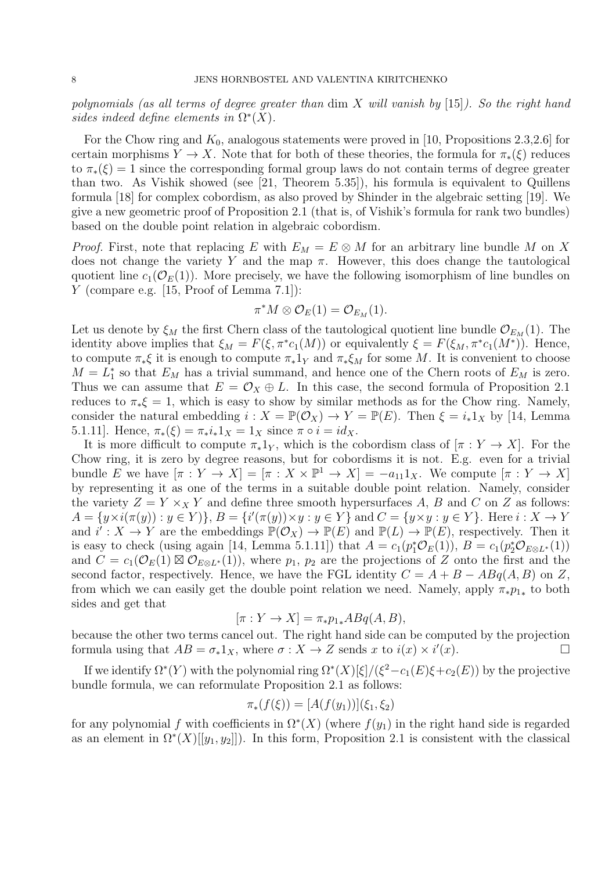polynomials (as all terms of degree greater than dim X will vanish by [15]). So the right hand sides indeed define elements in  $\Omega^*(X)$ .

For the Chow ring and  $K_0$ , analogous statements were proved in [10, Propositions 2.3,2.6] for certain morphisms  $Y \to X$ . Note that for both of these theories, the formula for  $\pi_*(\xi)$  reduces to  $\pi_*(\xi) = 1$  since the corresponding formal group laws do not contain terms of degree greater than two. As Vishik showed (see [21, Theorem 5.35]), his formula is equivalent to Quillens formula [18] for complex cobordism, as also proved by Shinder in the algebraic setting [19]. We give a new geometric proof of Proposition 2.1 (that is, of Vishik's formula for rank two bundles) based on the double point relation in algebraic cobordism.

*Proof.* First, note that replacing E with  $E_M = E \otimes M$  for an arbitrary line bundle M on X does not change the variety Y and the map  $\pi$ . However, this does change the tautological quotient line  $c_1(\mathcal{O}_E(1))$ . More precisely, we have the following isomorphism of line bundles on Y (compare e.g. [15, Proof of Lemma 7.1]):

$$
\pi^*M\otimes \mathcal{O}_E(1)=\mathcal{O}_{E_M}(1).
$$

Let us denote by  $\xi_M$  the first Chern class of the tautological quotient line bundle  $\mathcal{O}_{E_M}(1)$ . The identity above implies that  $\xi_M = F(\xi, \pi^* c_1(M))$  or equivalently  $\xi = F(\xi_M, \pi^* c_1(M^*))$ . Hence, to compute  $\pi_*\xi$  it is enough to compute  $\pi_*1_Y$  and  $\pi_*\xi_M$  for some M. It is convenient to choose  $M = L_1^*$  so that  $E_M$  has a trivial summand, and hence one of the Chern roots of  $E_M$  is zero. Thus we can assume that  $E = \mathcal{O}_X \oplus L$ . In this case, the second formula of Proposition 2.1 reduces to  $\pi_*\xi = 1$ , which is easy to show by similar methods as for the Chow ring. Namely, consider the natural embedding  $i : X = \mathbb{P}(\mathcal{O}_X) \to Y = \mathbb{P}(E)$ . Then  $\xi = i_*1_X$  by [14, Lemma 5.1.11]. Hence,  $\pi_*(\xi) = \pi_* i_* 1_X = 1_X$  since  $\pi \circ i = id_X$ .

It is more difficult to compute  $\pi_*1_Y$ , which is the cobordism class of  $[\pi : Y \to X]$ . For the Chow ring, it is zero by degree reasons, but for cobordisms it is not. E.g. even for a trivial bundle E we have  $[\pi : Y \to X] = [\pi : X \times \mathbb{P}^1 \to X] = -a_{11}1_X$ . We compute  $[\pi : Y \to X]$ by representing it as one of the terms in a suitable double point relation. Namely, consider the variety  $Z = Y \times_X Y$  and define three smooth hypersurfaces A, B and C on Z as follows:  $A = \{y \times i(\pi(y)) : y \in Y\}$ ,  $B = \{i'(\pi(y)) \times y : y \in Y\}$  and  $C = \{y \times y : y \in Y\}$ . Here  $i : X \to Y$ and  $i': X \to Y$  are the embeddings  $\mathbb{P}(\mathcal{O}_X) \to \mathbb{P}(E)$  and  $\mathbb{P}(L) \to \mathbb{P}(E)$ , respectively. Then it is easy to check (using again [14, Lemma 5.1.11]) that  $A = c_1(p_1^*\mathcal{O}_E(1)), B = c_1(p_2^*\mathcal{O}_{E\otimes L^*}(1))$ and  $C = c_1(\mathcal{O}_E(1) \boxtimes \mathcal{O}_{E \otimes L^*}(1)),$  where  $p_1, p_2$  are the projections of Z onto the first and the second factor, respectively. Hence, we have the FGL identity  $C = A + B - ABq(A, B)$  on Z, from which we can easily get the double point relation we need. Namely, apply  $\pi_* p_{1*}$  to both sides and get that

$$
[\pi: Y \to X] = \pi_* p_{1*} ABq(A, B),
$$

because the other two terms cancel out. The right hand side can be computed by the projection formula using that  $AB = \sigma_* 1_X$ , where  $\sigma : X \to Z$  sends x to  $i(x) \times i'(x)$ .

If we identify  $\Omega^*(Y)$  with the polynomial ring  $\Omega^*(X)[\xi]/(\xi^2-c_1(E)\xi+c_2(E))$  by the projective bundle formula, we can reformulate Proposition 2.1 as follows:

$$
\pi_*(f(\xi)) = [A(f(y_1))](\xi_1, \xi_2)
$$

for any polynomial f with coefficients in  $\Omega^*(X)$  (where  $f(y_1)$  in the right hand side is regarded as an element in  $\Omega^*(X)[[y_1, y_2]]$ . In this form, Proposition 2.1 is consistent with the classical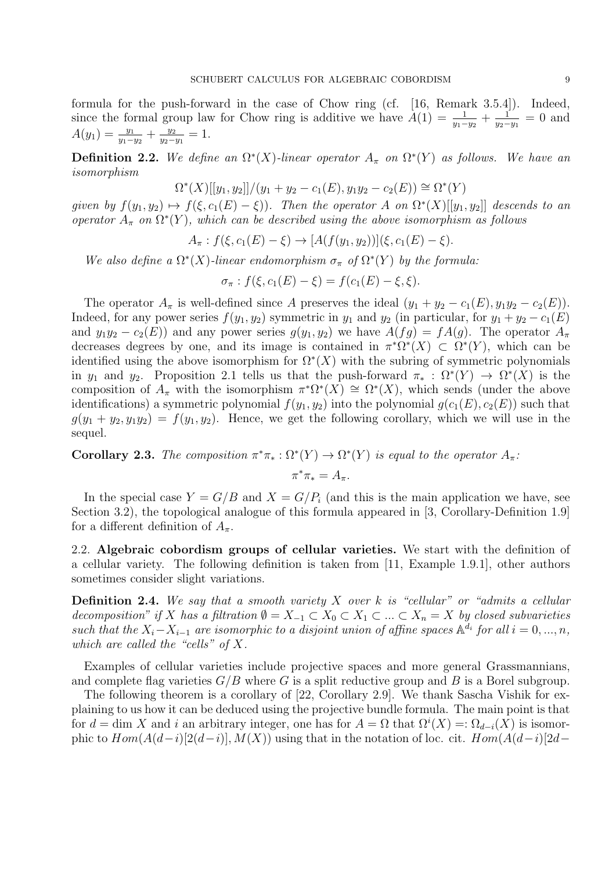formula for the push-forward in the case of Chow ring (cf. [16, Remark 3.5.4]). Indeed, since the formal group law for Chow ring is additive we have  $A(1) = \frac{1}{y_1 - y_2} + \frac{1}{y_2 -}$  $\frac{1}{y_2-y_1} = 0$  and  $A(y_1) = \frac{y_1}{y_1-y_2} + \frac{y_2}{y_2-y_1}$  $\frac{y_2}{y_2-y_1}=1.$ 

**Definition 2.2.** We define an  $\Omega^*(X)$ -linear operator  $A_{\pi}$  on  $\Omega^*(Y)$  as follows. We have an isomorphism

$$
\Omega^*(X)[[y_1, y_2]]/(y_1 + y_2 - c_1(E), y_1y_2 - c_2(E)) \cong \Omega^*(Y)
$$

given by  $f(y_1, y_2) \mapsto f(\xi, c_1(E) - \xi)$ ). Then the operator A on  $\Omega^*(X)[[y_1, y_2]]$  descends to an operator  $A_{\pi}$  on  $\Omega^*(Y)$ , which can be described using the above isomorphism as follows

$$
A_{\pi}: f(\xi, c_1(E) - \xi) \to [A(f(y_1, y_2))](\xi, c_1(E) - \xi).
$$

We also define a  $\Omega^*(X)$ -linear endomorphism  $\sigma_{\pi}$  of  $\Omega^*(Y)$  by the formula:

$$
\sigma_{\pi} : f(\xi, c_1(E) - \xi) = f(c_1(E) - \xi, \xi).
$$

The operator  $A_{\pi}$  is well-defined since A preserves the ideal  $(y_1 + y_2 - c_1(E), y_1y_2 - c_2(E)).$ Indeed, for any power series  $f(y_1, y_2)$  symmetric in  $y_1$  and  $y_2$  (in particular, for  $y_1 + y_2 - c_1(E)$ ) and  $y_1y_2 - c_2(E)$  and any power series  $g(y_1, y_2)$  we have  $A(fg) = fA(g)$ . The operator  $A_\pi$ decreases degrees by one, and its image is contained in  $\pi^*\Omega^*(X) \subset \Omega^*(Y)$ , which can be identified using the above isomorphism for  $\Omega^*(X)$  with the subring of symmetric polynomials in  $y_1$  and  $y_2$ . Proposition 2.1 tells us that the push-forward  $\pi_* : \Omega^*(Y) \to \Omega^*(X)$  is the composition of  $A_{\pi}$  with the isomorphism  $\pi^*\Omega^*(X) \cong \Omega^*(X)$ , which sends (under the above identifications) a symmetric polynomial  $f(y_1, y_2)$  into the polynomial  $g(c_1(E), c_2(E))$  such that  $g(y_1 + y_2, y_1y_2) = f(y_1, y_2)$ . Hence, we get the following corollary, which we will use in the sequel.

**Corollary 2.3.** The composition  $\pi^*\pi_* : \Omega^*(Y) \to \Omega^*(Y)$  is equal to the operator  $A_{\pi}$ .

$$
\pi^*\pi_* = A_\pi.
$$

In the special case  $Y = G/B$  and  $X = G/P_i$  (and this is the main application we have, see Section 3.2), the topological analogue of this formula appeared in [3, Corollary-Definition 1.9] for a different definition of  $A_{\pi}$ .

2.2. Algebraic cobordism groups of cellular varieties. We start with the definition of a cellular variety. The following definition is taken from [11, Example 1.9.1], other authors sometimes consider slight variations.

**Definition 2.4.** We say that a smooth variety X over k is "cellular" or "admits a cellular decomposition" if X has a filtration  $\emptyset = X_{-1} \subset X_0 \subset X_1 \subset ... \subset X_n = X$  by closed subvarieties such that the  $X_i - X_{i-1}$  are isomorphic to a disjoint union of affine spaces  $\mathbb{A}^{\tilde{d}_i}$  for all  $i = 0, ..., n$ , which are called the "cells" of  $X$ .

Examples of cellular varieties include projective spaces and more general Grassmannians, and complete flag varieties  $G/B$  where G is a split reductive group and B is a Borel subgroup.

The following theorem is a corollary of [22, Corollary 2.9]. We thank Sascha Vishik for explaining to us how it can be deduced using the projective bundle formula. The main point is that for  $d = \dim X$  and i an arbitrary integer, one has for  $A = \Omega$  that  $\Omega^{i}(X) =: \Omega_{d-i}(X)$  is isomorphic to  $Hom(A(d-i)[2(d-i)], M(X))$  using that in the notation of loc. cit.  $Hom(A(d-i)[2d-p])$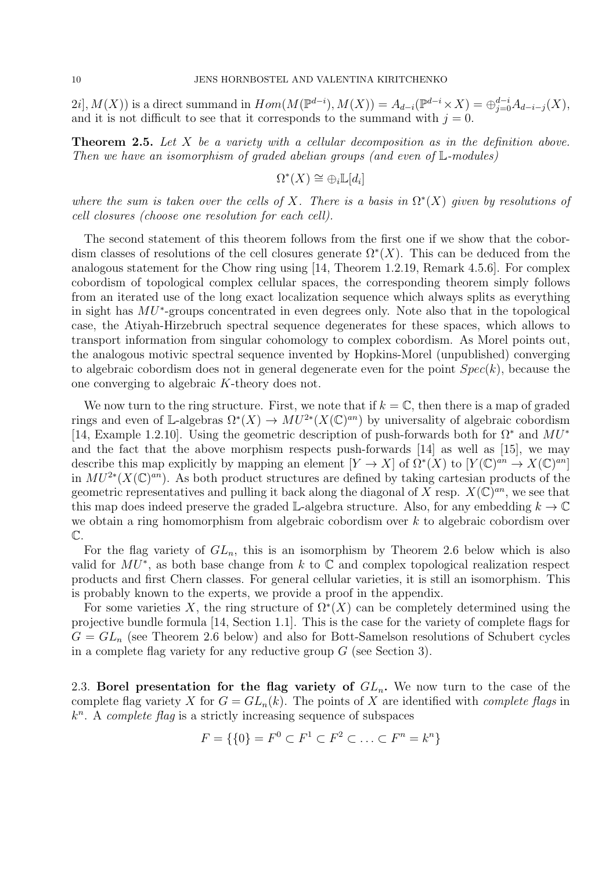$2i$ ,  $M(X)$ ) is a direct summand in  $Hom(M(\mathbb{P}^{d-i}), M(X)) = A_{d-i}(\mathbb{P}^{d-i} \times X) = \bigoplus_{j=0}^{d-i} A_{d-i-j}(X)$ , and it is not difficult to see that it corresponds to the summand with  $j = 0$ .

**Theorem 2.5.** Let X be a variety with a cellular decomposition as in the definition above. Then we have an isomorphism of graded abelian groups (and even of  $\mathbb{L}$ -modules)

$$
\Omega^*(X) \cong \bigoplus_i \mathbb{L}[d_i]
$$

where the sum is taken over the cells of X. There is a basis in  $\Omega^*(X)$  given by resolutions of cell closures (choose one resolution for each cell).

The second statement of this theorem follows from the first one if we show that the cobordism classes of resolutions of the cell closures generate  $\Omega^*(X)$ . This can be deduced from the analogous statement for the Chow ring using [14, Theorem 1.2.19, Remark 4.5.6]. For complex cobordism of topological complex cellular spaces, the corresponding theorem simply follows from an iterated use of the long exact localization sequence which always splits as everything in sight has MU<sup>∗</sup> -groups concentrated in even degrees only. Note also that in the topological case, the Atiyah-Hirzebruch spectral sequence degenerates for these spaces, which allows to transport information from singular cohomology to complex cobordism. As Morel points out, the analogous motivic spectral sequence invented by Hopkins-Morel (unpublished) converging to algebraic cobordism does not in general degenerate even for the point  $Spec(k)$ , because the one converging to algebraic K-theory does not.

We now turn to the ring structure. First, we note that if  $k = \mathbb{C}$ , then there is a map of graded rings and even of L-algebras  $\Omega^*(X) \to MU^{2*}(X(\mathbb{C})^{an})$  by universality of algebraic cobordism [14, Example 1.2.10]. Using the geometric description of push-forwards both for  $\Omega^*$  and  $MU^*$ and the fact that the above morphism respects push-forwards [14] as well as [15], we may describe this map explicitly by mapping an element  $[Y \to X]$  of  $\Omega^*(X)$  to  $[Y(\mathbb{C})^{an} \to X(\mathbb{C})^{an}]$ in  $MU^{2*}(X(\mathbb{C})^{an})$ . As both product structures are defined by taking cartesian products of the geometric representatives and pulling it back along the diagonal of X resp.  $X(\mathbb{C})^{an}$ , we see that this map does indeed preserve the graded L-algebra structure. Also, for any embedding  $k \to \mathbb{C}$ we obtain a ring homomorphism from algebraic cobordism over k to algebraic cobordism over C.

For the flag variety of  $GL_n$ , this is an isomorphism by Theorem 2.6 below which is also valid for  $MU^*$ , as both base change from k to  $\mathbb C$  and complex topological realization respect products and first Chern classes. For general cellular varieties, it is still an isomorphism. This is probably known to the experts, we provide a proof in the appendix.

For some varieties X, the ring structure of  $\Omega^*(X)$  can be completely determined using the projective bundle formula [14, Section 1.1]. This is the case for the variety of complete flags for  $G = GL_n$  (see Theorem 2.6 below) and also for Bott-Samelson resolutions of Schubert cycles in a complete flag variety for any reductive group  $G$  (see Section 3).

2.3. Borel presentation for the flag variety of  $GL_n$ . We now turn to the case of the complete flag variety X for  $G = GL_n(k)$ . The points of X are identified with *complete flags* in  $k<sup>n</sup>$ . A complete flag is a strictly increasing sequence of subspaces

$$
F = \{ \{0\} = F^0 \subset F^1 \subset F^2 \subset \ldots \subset F^n = k^n \}
$$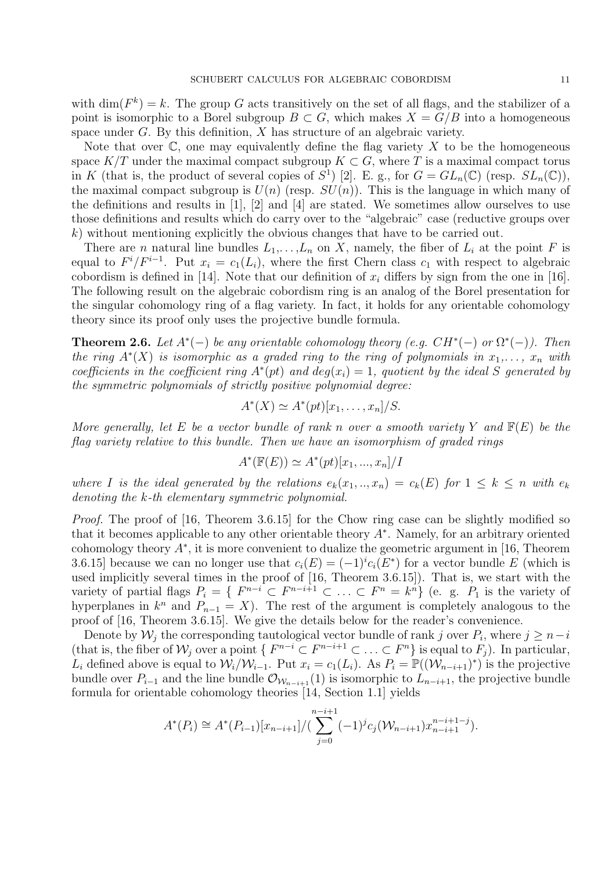with  $\dim(F^k) = k$ . The group G acts transitively on the set of all flags, and the stabilizer of a point is isomorphic to a Borel subgroup  $B \subset G$ , which makes  $X = G/B$  into a homogeneous space under  $G$ . By this definition,  $X$  has structure of an algebraic variety.

Note that over  $\mathbb C$ , one may equivalently define the flag variety X to be the homogeneous space  $K/T$  under the maximal compact subgroup  $K\subset G$ , where T is a maximal compact torus in K (that is, the product of several copies of  $S^1$ ) [2]. E. g., for  $G = GL_n(\mathbb{C})$  (resp.  $SL_n(\mathbb{C})$ ), the maximal compact subgroup is  $U(n)$  (resp.  $SU(n)$ ). This is the language in which many of the definitions and results in [1], [2] and [4] are stated. We sometimes allow ourselves to use those definitions and results which do carry over to the "algebraic" case (reductive groups over k) without mentioning explicitly the obvious changes that have to be carried out.

There are *n* natural line bundles  $L_1, \ldots, L_n$  on X, namely, the fiber of  $L_i$  at the point F is equal to  $F^i/F^{i-1}$ . Put  $x_i = c_1(L_i)$ , where the first Chern class  $c_1$  with respect to algebraic cobordism is defined in [14]. Note that our definition of  $x_i$  differs by sign from the one in [16]. The following result on the algebraic cobordism ring is an analog of the Borel presentation for the singular cohomology ring of a flag variety. In fact, it holds for any orientable cohomology theory since its proof only uses the projective bundle formula.

**Theorem 2.6.** Let  $A^*(-)$  be any orientable cohomology theory (e.g.  $CH^*(-)$  or  $\Omega^*(-)$ ). Then the ring  $A^*(X)$  is isomorphic as a graded ring to the ring of polynomials in  $x_1, \ldots, x_n$  with coefficients in the coefficient ring  $A^*(pt)$  and  $deg(x_i) = 1$ , quotient by the ideal S generated by the symmetric polynomials of strictly positive polynomial degree:

$$
A^*(X) \simeq A^*(pt)[x_1,\ldots,x_n]/S.
$$

More generally, let E be a vector bundle of rank n over a smooth variety Y and  $F(E)$  be the flag variety relative to this bundle. Then we have an isomorphism of graded rings

$$
A^*(\mathbb{F}(E)) \simeq A^*(pt)[x_1, ..., x_n]/I
$$

where I is the ideal generated by the relations  $e_k(x_1,..,x_n) = c_k(E)$  for  $1 \leq k \leq n$  with  $e_k$ denoting the k-th elementary symmetric polynomial.

Proof. The proof of [16, Theorem 3.6.15] for the Chow ring case can be slightly modified so that it becomes applicable to any other orientable theory  $A^*$ . Namely, for an arbitrary oriented cohomology theory  $A^*$ , it is more convenient to dualize the geometric argument in [16, Theorem 3.6.15] because we can no longer use that  $c_i(E) = (-1)^i c_i(E^*)$  for a vector bundle E (which is used implicitly several times in the proof of [16, Theorem 3.6.15]). That is, we start with the variety of partial flags  $P_i = \{ F^{n-i} \subset F^{n-i+1} \subset \ldots \subset F^n = k^n \}$  (e. g.  $P_1$  is the variety of hyperplanes in  $k^n$  and  $P_{n-1} = X$ ). The rest of the argument is completely analogous to the proof of [16, Theorem 3.6.15]. We give the details below for the reader's convenience.

Denote by  $\mathcal{W}_j$  the corresponding tautological vector bundle of rank j over  $P_i$ , where  $j \geq n-i$ (that is, the fiber of  $\mathcal{W}_j$  over a point  $\{F^{n-i} \subset F^{n-i+1} \subset \ldots \subset F^n\}$  is equal to  $F_j$ ). In particular, L<sub>i</sub> defined above is equal to  $\mathcal{W}_i/\mathcal{W}_{i-1}$ . Put  $x_i = c_1(L_i)$ . As  $P_i = \mathbb{P}((\mathcal{W}_{n-i+1})^*)$  is the projective bundle over  $P_{i-1}$  and the line bundle  $\mathcal{O}_{W_{n-i+1}}(1)$  is isomorphic to  $L_{n-i+1}$ , the projective bundle formula for orientable cohomology theories [14, Section 1.1] yields

$$
A^*(P_i) \cong A^*(P_{i-1})[x_{n-i+1}]/(\sum_{j=0}^{n-i+1} (-1)^j c_j (\mathcal{W}_{n-i+1}) x_{n-i+1}^{n-i+1-j}).
$$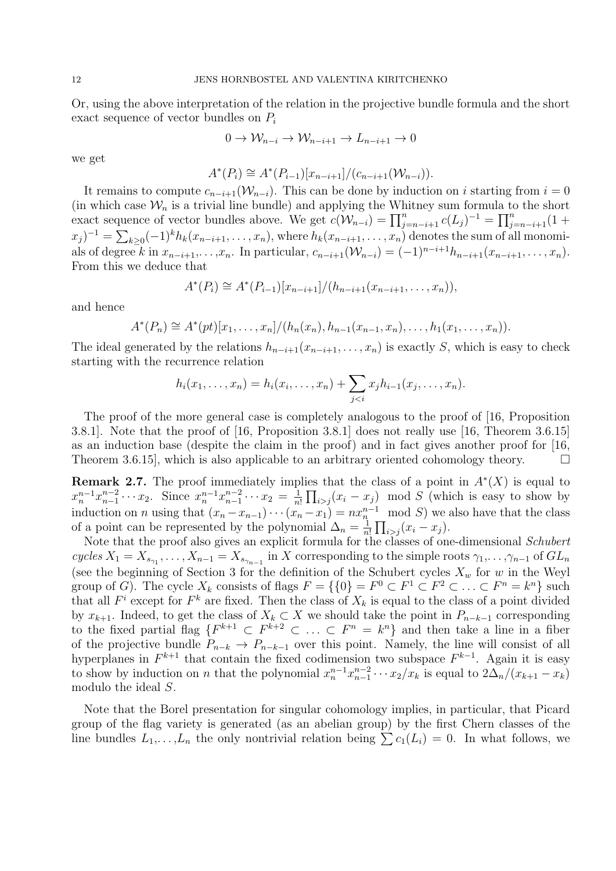Or, using the above interpretation of the relation in the projective bundle formula and the short exact sequence of vector bundles on  $P_i$ 

$$
0 \to \mathcal{W}_{n-i} \to \mathcal{W}_{n-i+1} \to L_{n-i+1} \to 0
$$

we get

$$
A^*(P_i) \cong A^*(P_{i-1})[x_{n-i+1}]/(c_{n-i+1}(\mathcal{W}_{n-i})).
$$

It remains to compute  $c_{n-i+1}(\mathcal{W}_{n-i})$ . This can be done by induction on i starting from  $i=0$ (in which case  $\mathcal{W}_n$  is a trivial line bundle) and applying the Whitney sum formula to the short exact sequence of vector bundles above. We get  $c(W_{n-i}) = \prod_{j=n-i+1}^{n} c(L_j)^{-1} = \prod_{j=n-i+1}^{n} (1 +$  $(x_j)^{-1} = \sum_{k\geq 0} (-1)^k h_k(x_{n-i+1},\ldots,x_n)$ , where  $h_k(x_{n-i+1},\ldots,x_n)$  denotes the sum of all monomials of degree k in  $x_{n-i+1},...,x_n$ . In particular,  $c_{n-i+1}(\mathcal{W}_{n-i}) = (-1)^{n-i+1} h_{n-i+1}(x_{n-i+1},...,x_n)$ . From this we deduce that

$$
A^*(P_i) \cong A^*(P_{i-1})[x_{n-i+1}]/(h_{n-i+1}(x_{n-i+1},\ldots,x_n)),
$$

and hence

$$
A^*(P_n) \cong A^*(pt)[x_1,\ldots,x_n]/(h_n(x_n),h_{n-1}(x_{n-1},x_n),\ldots,h_1(x_1,\ldots,x_n)).
$$

The ideal generated by the relations  $h_{n-i+1}(x_{n-i+1},\ldots,x_n)$  is exactly S, which is easy to check starting with the recurrence relation

$$
h_i(x_1,...,x_n) = h_i(x_i,...,x_n) + \sum_{j
$$

The proof of the more general case is completely analogous to the proof of [16, Proposition 3.8.1]. Note that the proof of [16, Proposition 3.8.1] does not really use [16, Theorem 3.6.15] as an induction base (despite the claim in the proof) and in fact gives another proof for [16, Theorem 3.6.15, which is also applicable to an arbitrary oriented cohomology theory.  $\Box$ 

**Remark 2.7.** The proof immediately implies that the class of a point in  $A^*(X)$  is equal to  $x_n^{n-1}x_{n-1}^{n-2}\cdots x_2$ . Since  $x_n^{n-1}x_{n-1}^{n-2}\cdots x_2 = \frac{1}{n}$  $\frac{1}{n!} \prod_{i > j} (x_i - x_j) \mod S$  (which is easy to show by induction on *n* using that  $(x_n - x_{n-1}) \cdots (x_n - x_1) = nx_n^{n-1} \mod S$  we also have that the class of a point can be represented by the polynomial  $\Delta_n = \frac{1}{n}$  $\frac{1}{n!} \prod_{i > j} (x_i - x_j).$ 

Note that the proof also gives an explicit formula for the classes of one-dimensional Schubert cycles  $X_1 = X_{s_{\gamma_1}}, \ldots, X_{n-1} = X_{s_{\gamma_{n-1}}}$  in X corresponding to the simple roots  $\gamma_1, \ldots, \gamma_{n-1}$  of  $GL_n$ (see the beginning of Section 3 for the definition of the Schubert cycles  $X_w$  for w in the Weyl group of G). The cycle  $X_k$  consists of flags  $F = \{0\} = F^0 \subset F^1 \subset F^2 \subset \ldots \subset F^n = k^n\}$  such that all  $F^i$  except for  $F^k$  are fixed. Then the class of  $X_k$  is equal to the class of a point divided by  $x_{k+1}$ . Indeed, to get the class of  $X_k \subset X$  we should take the point in  $P_{n-k-1}$  corresponding to the fixed partial flag  $\{F^{k+1} \subset F^{k+2} \subset \ldots \subset F^n = k^n\}$  and then take a line in a fiber of the projective bundle  $P_{n-k} \to P_{n-k-1}$  over this point. Namely, the line will consist of all hyperplanes in  $F^{k+1}$  that contain the fixed codimension two subspace  $F^{k-1}$ . Again it is easy to show by induction on *n* that the polynomial  $x_n^{n-1}x_{n-1}^{n-2}\cdots x_2/x_k$  is equal to  $2\Delta_n/(x_{k+1}-x_k)$ modulo the ideal S.

Note that the Borel presentation for singular cohomology implies, in particular, that Picard group of the flag variety is generated (as an abelian group) by the first Chern classes of the line bundles  $L_1,\ldots,L_n$  the only nontrivial relation being  $\sum c_1(L_i) = 0$ . In what follows, we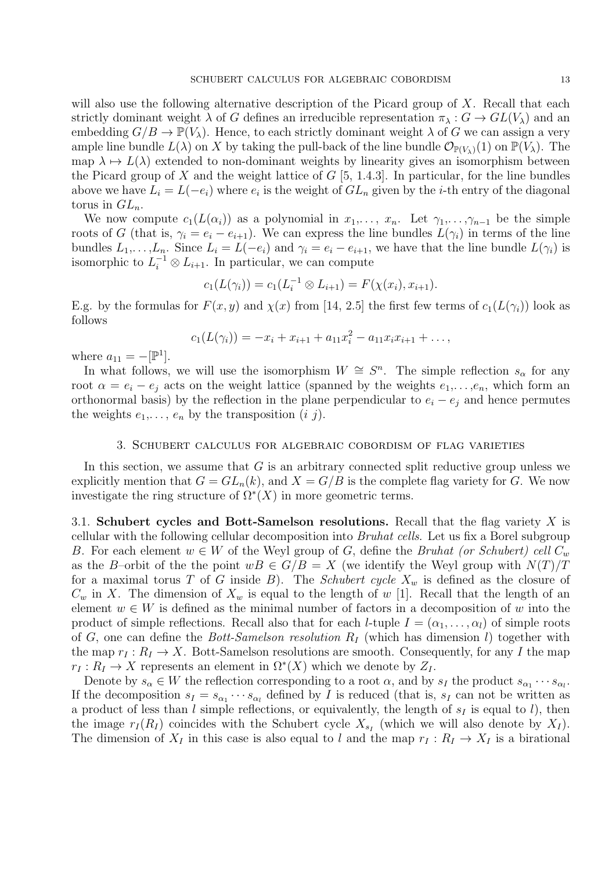will also use the following alternative description of the Picard group of  $X$ . Recall that each strictly dominant weight  $\lambda$  of G defines an irreducible representation  $\pi_{\lambda}: G \to GL(V_{\lambda})$  and an embedding  $G/B \to \mathbb{P}(V_\lambda)$ . Hence, to each strictly dominant weight  $\lambda$  of G we can assign a very ample line bundle  $L(\lambda)$  on X by taking the pull-back of the line bundle  $\mathcal{O}_{\mathbb{P}(V_{\lambda})}(1)$  on  $\mathbb{P}(V_{\lambda})$ . The map  $\lambda \mapsto L(\lambda)$  extended to non-dominant weights by linearity gives an isomorphism between the Picard group of X and the weight lattice of  $G$  [5, 1.4.3]. In particular, for the line bundles above we have  $L_i = L(-e_i)$  where  $e_i$  is the weight of  $GL_n$  given by the *i*-th entry of the diagonal torus in  $GL_n$ .

We now compute  $c_1(L(\alpha_i))$  as a polynomial in  $x_1,\ldots,x_n$ . Let  $\gamma_1,\ldots,\gamma_{n-1}$  be the simple roots of G (that is,  $\gamma_i = e_i - e_{i+1}$ ). We can express the line bundles  $L(\gamma_i)$  in terms of the line bundles  $L_1,\ldots,L_n$ . Since  $L_i = L(-e_i)$  and  $\gamma_i = e_i - e_{i+1}$ , we have that the line bundle  $L(\gamma_i)$  is isomorphic to  $L_i^{-1} \otimes L_{i+1}$ . In particular, we can compute

$$
c_1(L(\gamma_i)) = c_1(L_i^{-1} \otimes L_{i+1}) = F(\chi(x_i), x_{i+1}).
$$

E.g. by the formulas for  $F(x, y)$  and  $\chi(x)$  from [14, 2.5] the first few terms of  $c_1(L(\gamma_i))$  look as follows

$$
c_1(L(\gamma_i)) = -x_i + x_{i+1} + a_{11}x_i^2 - a_{11}x_ix_{i+1} + \dots,
$$

where  $a_{11} = -[\mathbb{P}^1]$ .

In what follows, we will use the isomorphism  $W \cong S^n$ . The simple reflection  $s_\alpha$  for any root  $\alpha = e_i - e_j$  acts on the weight lattice (spanned by the weights  $e_1, \ldots, e_n$ , which form an orthonormal basis) by the reflection in the plane perpendicular to  $e_i - e_j$  and hence permutes the weights  $e_1, \ldots, e_n$  by the transposition  $(i, j)$ .

#### 3. Schubert calculus for algebraic cobordism of flag varieties

In this section, we assume that  $G$  is an arbitrary connected split reductive group unless we explicitly mention that  $G = GL_n(k)$ , and  $X = G/B$  is the complete flag variety for G. We now investigate the ring structure of  $\Omega^*(X)$  in more geometric terms.

3.1. Schubert cycles and Bott-Samelson resolutions. Recall that the flag variety  $X$  is cellular with the following cellular decomposition into Bruhat cells. Let us fix a Borel subgroup B. For each element  $w \in W$  of the Weyl group of G, define the Bruhat (or Schubert) cell  $C_w$ as the B–orbit of the the point  $wB \in G/B = X$  (we identify the Weyl group with  $N(T)/T$ for a maximal torus T of G inside B). The Schubert cycle  $X_w$  is defined as the closure of  $C_w$  in X. The dimension of  $X_w$  is equal to the length of w [1]. Recall that the length of an element  $w \in W$  is defined as the minimal number of factors in a decomposition of w into the product of simple reflections. Recall also that for each *l*-tuple  $I = (\alpha_1, \dots, \alpha_l)$  of simple roots of G, one can define the Bott-Samelson resolution  $R_I$  (which has dimension l) together with the map  $r_I : R_I \to X$ . Bott-Samelson resolutions are smooth. Consequently, for any I the map  $r_I: R_I \to X$  represents an element in  $\Omega^*(X)$  which we denote by  $Z_I$ .

Denote by  $s_{\alpha} \in W$  the reflection corresponding to a root  $\alpha$ , and by  $s_I$  the product  $s_{\alpha_1} \cdots s_{\alpha_l}$ . If the decomposition  $s_I = s_{\alpha_1} \cdots s_{\alpha_l}$  defined by I is reduced (that is,  $s_I$  can not be written as a product of less than l simple reflections, or equivalently, the length of  $s_I$  is equal to l), then the image  $r_I(R_I)$  coincides with the Schubert cycle  $X_{s_I}$  (which we will also denote by  $X_I$ ). The dimension of  $X_I$  in this case is also equal to l and the map  $r_I : R_I \to X_I$  is a birational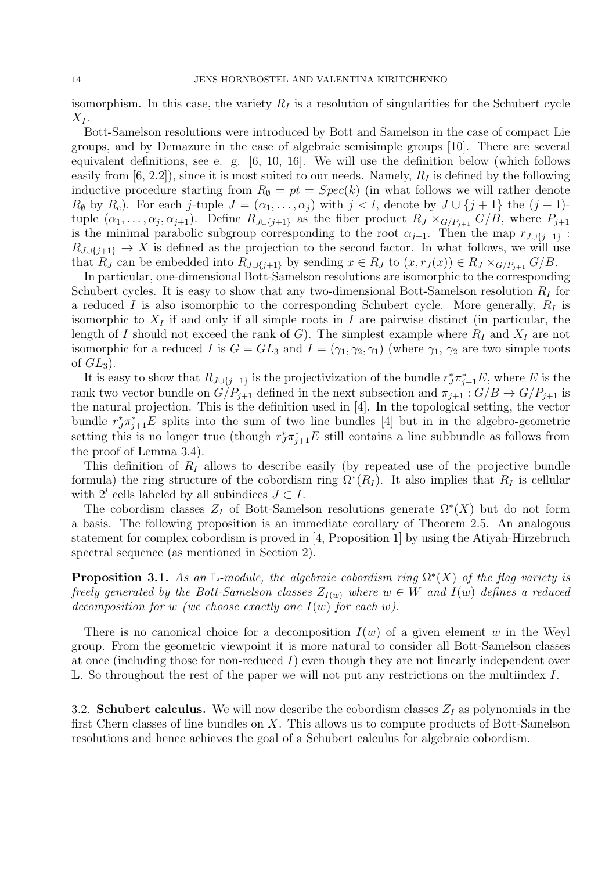isomorphism. In this case, the variety  $R_I$  is a resolution of singularities for the Schubert cycle  $X_I$ .

Bott-Samelson resolutions were introduced by Bott and Samelson in the case of compact Lie groups, and by Demazure in the case of algebraic semisimple groups [10]. There are several equivalent definitions, see e. g. [6, 10, 16]. We will use the definition below (which follows easily from [6, 2.2]), since it is most suited to our needs. Namely,  $R_I$  is defined by the following inductive procedure starting from  $R_{\emptyset} = pt = Spec(k)$  (in what follows we will rather denote  $R_{\emptyset}$  by  $R_e$ ). For each j-tuple  $J = (\alpha_1, \ldots, \alpha_j)$  with  $j < l$ , denote by  $J \cup \{j+1\}$  the  $(j+1)$ tuple  $(\alpha_1,\ldots,\alpha_j,\alpha_{j+1})$ . Define  $R_{J\cup\{j+1\}}$  as the fiber product  $R_J\times_{G/P_{j+1}}G/B$ , where  $P_{j+1}$ is the minimal parabolic subgroup corresponding to the root  $\alpha_{j+1}$ . Then the map  $r_{J\cup\{j+1\}}$ :  $R_{J\cup\{j+1\}} \to X$  is defined as the projection to the second factor. In what follows, we will use that  $R_J$  can be embedded into  $R_{J\cup \{j+1\}}$  by sending  $x \in R_J$  to  $(x, r_J(x)) \in R_J \times_{G/P_{j+1}} G/B$ .

In particular, one-dimensional Bott-Samelson resolutions are isomorphic to the corresponding Schubert cycles. It is easy to show that any two-dimensional Bott-Samelson resolution  $R_I$  for a reduced I is also isomorphic to the corresponding Schubert cycle. More generally,  $R_I$  is isomorphic to  $X_I$  if and only if all simple roots in I are pairwise distinct (in particular, the length of I should not exceed the rank of G). The simplest example where  $R_I$  and  $X_I$  are not isomorphic for a reduced I is  $G = GL_3$  and  $I = (\gamma_1, \gamma_2, \gamma_1)$  (where  $\gamma_1$ ,  $\gamma_2$  are two simple roots of  $GL_3$ ).

It is easy to show that  $R_{J\cup\{j+1\}}$  is the projectivization of the bundle  $r_J^*\pi_{j+1}^*E$ , where E is the rank two vector bundle on  $G/P_{i+1}$  defined in the next subsection and  $\pi_{i+1} : G/B \to G/P_{i+1}$  is the natural projection. This is the definition used in [4]. In the topological setting, the vector bundle  $r_J^*\pi_{j+1}^*E$  splits into the sum of two line bundles [4] but in in the algebro-geometric setting this is no longer true (though  $r_J^*\pi_{j+1}^*E$  still contains a line subbundle as follows from the proof of Lemma 3.4).

This definition of  $R_I$  allows to describe easily (by repeated use of the projective bundle formula) the ring structure of the cobordism ring  $\Omega^*(R_I)$ . It also implies that  $R_I$  is cellular with  $2^l$  cells labeled by all subindices  $J \subset I$ .

The cobordism classes  $Z_I$  of Bott-Samelson resolutions generate  $\Omega^*(X)$  but do not form a basis. The following proposition is an immediate corollary of Theorem 2.5. An analogous statement for complex cobordism is proved in [4, Proposition 1] by using the Atiyah-Hirzebruch spectral sequence (as mentioned in Section 2).

**Proposition 3.1.** As an L-module, the algebraic cobordism ring  $\Omega^*(X)$  of the flag variety is freely generated by the Bott-Samelson classes  $Z_{I(w)}$  where  $w \in W$  and  $I(w)$  defines a reduced decomposition for w (we choose exactly one  $I(w)$  for each w).

There is no canonical choice for a decomposition  $I(w)$  of a given element w in the Weyl group. From the geometric viewpoint it is more natural to consider all Bott-Samelson classes at once (including those for non-reduced I) even though they are not linearly independent over  $\mathbb{L}$ . So throughout the rest of the paper we will not put any restrictions on the multiindex I.

3.2. Schubert calculus. We will now describe the cobordism classes  $Z_I$  as polynomials in the first Chern classes of line bundles on  $X$ . This allows us to compute products of Bott-Samelson resolutions and hence achieves the goal of a Schubert calculus for algebraic cobordism.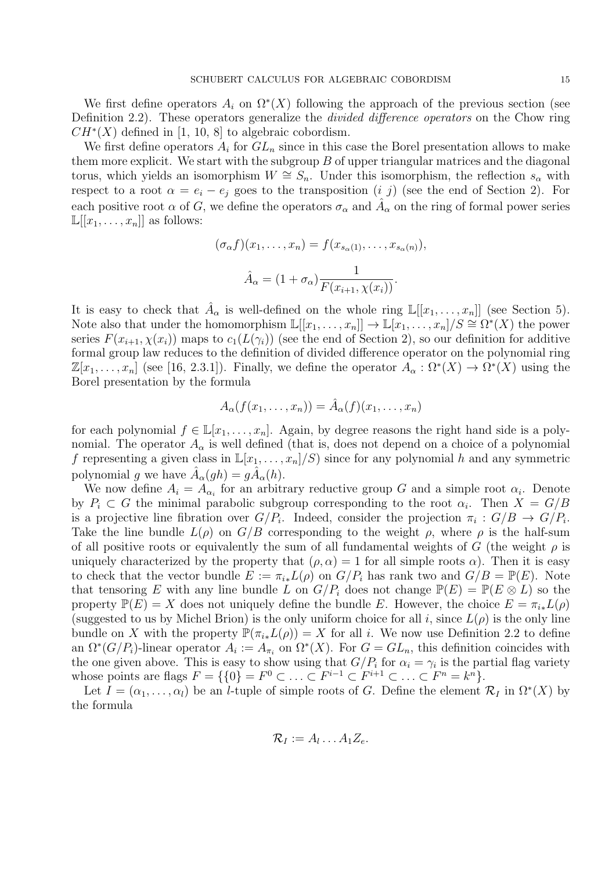We first define operators  $A_i$  on  $\Omega^*(X)$  following the approach of the previous section (see Definition 2.2). These operators generalize the *divided difference operators* on the Chow ring  $CH<sup>*</sup>(X)$  defined in [1, 10, 8] to algebraic cobordism.

We first define operators  $A_i$  for  $GL_n$  since in this case the Borel presentation allows to make them more explicit. We start with the subgroup  $B$  of upper triangular matrices and the diagonal torus, which yields an isomorphism  $W \cong S_n$ . Under this isomorphism, the reflection  $s_\alpha$  with respect to a root  $\alpha = e_i - e_j$  goes to the transposition  $(i, j)$  (see the end of Section 2). For each positive root  $\alpha$  of G, we define the operators  $\sigma_{\alpha}$  and  $\hat{A}_{\alpha}$  on the ring of formal power series  $\mathbb{L}[[x_1,\ldots,x_n]]$  as follows:

$$
(\sigma_{\alpha}f)(x_1,\ldots,x_n) = f(x_{s_{\alpha}(1)},\ldots,x_{s_{\alpha}(n)}),
$$

$$
\hat{A}_{\alpha} = (1+\sigma_{\alpha})\frac{1}{F(x_{i+1},\chi(x_i))}.
$$

It is easy to check that  $\hat{A}_{\alpha}$  is well-defined on the whole ring  $\mathbb{L}[[x_1,\ldots,x_n]]$  (see Section 5). Note also that under the homomorphism  $\mathbb{L}[[x_1,\ldots,x_n]] \to \mathbb{L}[x_1,\ldots,x_n]/S \cong \Omega^*(X)$  the power series  $F(x_{i+1}, \chi(x_i))$  maps to  $c_1(L(\gamma_i))$  (see the end of Section 2), so our definition for additive formal group law reduces to the definition of divided difference operator on the polynomial ring  $\mathbb{Z}[x_1,\ldots,x_n]$  (see [16, 2.3.1]). Finally, we define the operator  $A_\alpha : \Omega^*(X) \to \Omega^*(X)$  using the Borel presentation by the formula

$$
A_{\alpha}(f(x_1,\ldots,x_n))=\hat{A}_{\alpha}(f)(x_1,\ldots,x_n)
$$

for each polynomial  $f \in \mathbb{L}[x_1,\ldots,x_n]$ . Again, by degree reasons the right hand side is a polynomial. The operator  $A_{\alpha}$  is well defined (that is, does not depend on a choice of a polynomial f representing a given class in  $\mathbb{L}[x_1, \ldots, x_n]/S$  since for any polynomial h and any symmetric polynomial g we have  $\hat{A}_{\alpha}(gh) = g\hat{A}_{\alpha}(h)$ .

We now define  $A_i = A_{\alpha_i}$  for an arbitrary reductive group G and a simple root  $\alpha_i$ . Denote by  $P_i \subset G$  the minimal parabolic subgroup corresponding to the root  $\alpha_i$ . Then  $X = G/B$ is a projective line fibration over  $G/P_i$ . Indeed, consider the projection  $\pi_i: G/B \to G/P_i$ . Take the line bundle  $L(\rho)$  on  $G/B$  corresponding to the weight  $\rho$ , where  $\rho$  is the half-sum of all positive roots or equivalently the sum of all fundamental weights of G (the weight  $\rho$  is uniquely characterized by the property that  $(\rho, \alpha) = 1$  for all simple roots  $\alpha$ ). Then it is easy to check that the vector bundle  $E := \pi_{i*}L(\rho)$  on  $G/P_i$  has rank two and  $G/B = \mathbb{P}(E)$ . Note that tensoring E with any line bundle L on  $G/P_i$  does not change  $\mathbb{P}(E) = \mathbb{P}(E \otimes L)$  so the property  $\mathbb{P}(E) = X$  does not uniquely define the bundle E. However, the choice  $E = \pi_{i*}L(\rho)$ (suggested to us by Michel Brion) is the only uniform choice for all i, since  $L(\rho)$  is the only line bundle on X with the property  $\mathbb{P}(\pi_{i*}L(\rho)) = X$  for all i. We now use Definition 2.2 to define an  $\Omega^*(G/P_i)$ -linear operator  $A_i := A_{\pi_i}$  on  $\Omega^*(X)$ . For  $G = GL_n$ , this definition coincides with the one given above. This is easy to show using that  $G/P_i$  for  $\alpha_i = \gamma_i$  is the partial flag variety whose points are flags  $F = \{0\} = F^0 \subset \ldots \subset F^{i-1} \subset F^{i+1} \subset \ldots \subset F^n = k^n\}.$ 

Let  $I = (\alpha_1, \dots, \alpha_l)$  be an *l*-tuple of simple roots of G. Define the element  $\mathcal{R}_I$  in  $\Omega^*(X)$  by the formula

$$
\mathcal{R}_I := A_l \dots A_1 Z_e.
$$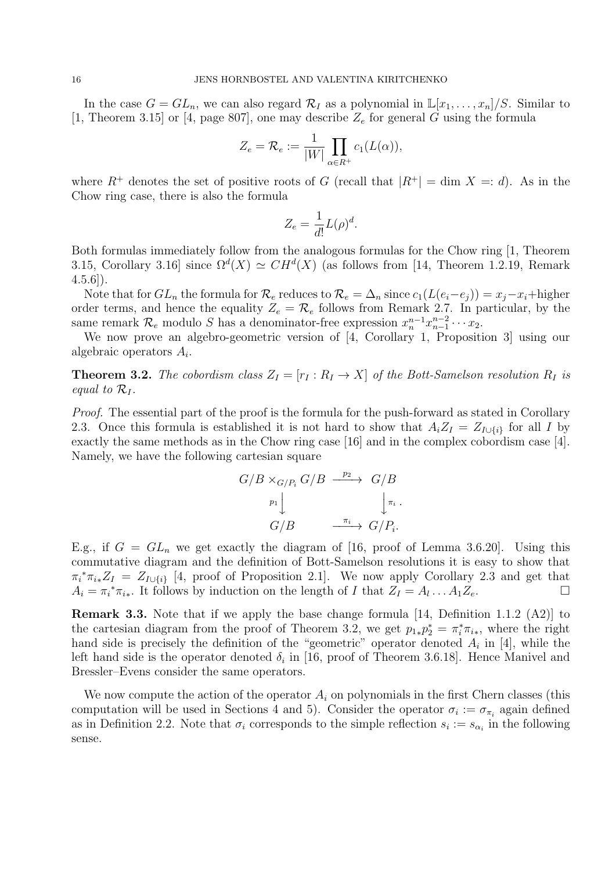In the case  $G = GL_n$ , we can also regard  $\mathcal{R}_I$  as a polynomial in  $\mathbb{L}[x_1, \ldots, x_n]/S$ . Similar to [1, Theorem 3.15] or [4, page 807], one may describe  $Z_e$  for general G using the formula

$$
Z_e = \mathcal{R}_e := \frac{1}{|W|} \prod_{\alpha \in R^+} c_1(L(\alpha)),
$$

where  $R^+$  denotes the set of positive roots of G (recall that  $|R^+| = \dim X =: d$ ). As in the Chow ring case, there is also the formula

$$
Z_e = \frac{1}{d!}L(\rho)^d.
$$

Both formulas immediately follow from the analogous formulas for the Chow ring [1, Theorem 3.15, Corollary 3.16 since  $\Omega^d(X) \simeq CH^d(X)$  (as follows from [14, Theorem 1.2.19, Remark  $(4.5.6)$ .

Note that for  $GL_n$  the formula for  $\mathcal{R}_e$  reduces to  $\mathcal{R}_e = \Delta_n$  since  $c_1(L(e_i-e_j)) = x_j-x_i$ +higher order terms, and hence the equality  $Z_e = \mathcal{R}_e$  follows from Remark 2.7. In particular, by the same remark  $\mathcal{R}_e$  modulo S has a denominator-free expression  $x_n^{n-1}x_{n-1}^{n-2}\cdots x_2$ .

We now prove an algebro-geometric version of [4, Corollary 1, Proposition 3] using our algebraic operators  $A_i$ .

**Theorem 3.2.** The cobordism class  $Z_I = [r_I : R_I \rightarrow X]$  of the Bott-Samelson resolution  $R_I$  is equal to  $\mathcal{R}_I$ .

Proof. The essential part of the proof is the formula for the push-forward as stated in Corollary 2.3. Once this formula is established it is not hard to show that  $A_iZ_I = Z_{I\cup\{i\}}$  for all I by exactly the same methods as in the Chow ring case [16] and in the complex cobordism case [4]. Namely, we have the following cartesian square

$$
G/B \times_{G/P_i} G/B \xrightarrow{\quad p_2} G/B
$$

$$
\downarrow^{p_1} \downarrow \qquad \qquad \downarrow^{\pi_i}.
$$

$$
G/B \xrightarrow{\quad \pi_i} G/P_i.
$$

E.g., if  $G = GL_n$  we get exactly the diagram of [16, proof of Lemma 3.6.20]. Using this commutative diagram and the definition of Bott-Samelson resolutions it is easy to show that  $\pi_i^* \pi_{i*} Z_I = Z_{I \cup \{i\}}$  [4, proof of Proposition 2.1]. We now apply Corollary 2.3 and get that  $A_i = \pi_i^* \pi_{i_*}$ . It follows by induction on the length of I that  $Z_I = A_l \dots A_1 Z_e$ .

Remark 3.3. Note that if we apply the base change formula [14, Definition 1.1.2 (A2)] to the cartesian diagram from the proof of Theorem 3.2, we get  $p_{1*}p_2^* = \pi_i^*\pi_{i*}$ , where the right hand side is precisely the definition of the "geometric" operator denoted  $A_i$  in [4], while the left hand side is the operator denoted  $\delta_i$  in [16, proof of Theorem 3.6.18]. Hence Manivel and Bressler–Evens consider the same operators.

We now compute the action of the operator  $A_i$  on polynomials in the first Chern classes (this computation will be used in Sections 4 and 5). Consider the operator  $\sigma_i := \sigma_{\pi_i}$  again defined as in Definition 2.2. Note that  $\sigma_i$  corresponds to the simple reflection  $s_i := s_{\alpha_i}$  in the following sense.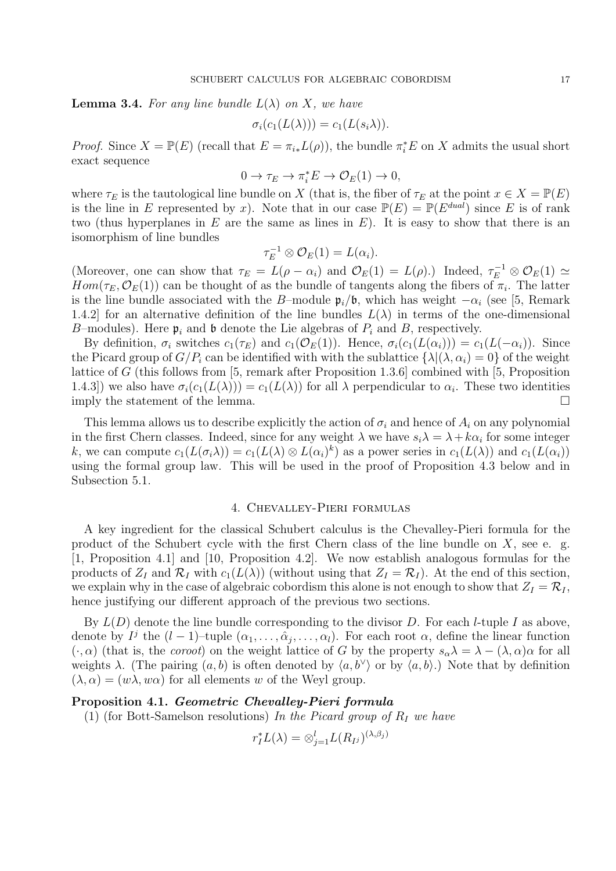**Lemma 3.4.** For any line bundle  $L(\lambda)$  on X, we have

$$
\sigma_i(c_1(L(\lambda))) = c_1(L(s_i\lambda)).
$$

*Proof.* Since  $X = \mathbb{P}(E)$  (recall that  $E = \pi_{i*}L(\rho)$ ), the bundle  $\pi_i^*E$  on X admits the usual short exact sequence

$$
0 \to \tau_E \to \pi_i^* E \to \mathcal{O}_E(1) \to 0,
$$

where  $\tau_E$  is the tautological line bundle on X (that is, the fiber of  $\tau_E$  at the point  $x \in X = \mathbb{P}(E)$ is the line in E represented by x). Note that in our case  $\mathbb{P}(E) = \mathbb{P}(E^{dual})$  since E is of rank two (thus hyperplanes in  $E$  are the same as lines in  $E$ ). It is easy to show that there is an isomorphism of line bundles

$$
\tau_E^{-1} \otimes \mathcal{O}_E(1) = L(\alpha_i).
$$

(Moreover, one can show that  $\tau_E = L(\rho - \alpha_i)$  and  $\mathcal{O}_E(1) = L(\rho)$ .) Indeed,  $\tau_E^{-1} \otimes \mathcal{O}_E(1) \simeq$  $Hom(\tau_E, \mathcal{O}_E(1))$  can be thought of as the bundle of tangents along the fibers of  $\pi_i$ . The latter is the line bundle associated with the B–module  $\mathfrak{p}_i/\mathfrak{b}$ , which has weight  $-\alpha_i$  (see [5, Remark 1.4.2] for an alternative definition of the line bundles  $L(\lambda)$  in terms of the one-dimensional B–modules). Here  $\mathfrak{p}_i$  and b denote the Lie algebras of  $P_i$  and B, respectively.

By definition,  $\sigma_i$  switches  $c_1(\tau_E)$  and  $c_1(\mathcal{O}_E(1))$ . Hence,  $\sigma_i(c_1(L(\alpha_i))) = c_1(L(-\alpha_i))$ . Since the Picard group of  $G/P_i$  can be identified with with the sublattice  $\{\lambda | (\lambda, \alpha_i) = 0\}$  of the weight lattice of G (this follows from [5, remark after Proposition 1.3.6] combined with [5, Proposition 1.4.3]) we also have  $\sigma_i(c_1(L(\lambda))) = c_1(L(\lambda))$  for all  $\lambda$  perpendicular to  $\alpha_i$ . These two identities imply the statement of the lemma.  $\Box$ 

This lemma allows us to describe explicitly the action of  $\sigma_i$  and hence of  $A_i$  on any polynomial in the first Chern classes. Indeed, since for any weight  $\lambda$  we have  $s_i\lambda = \lambda + k\alpha_i$  for some integer k, we can compute  $c_1(L(\sigma_i \lambda)) = c_1(L(\lambda) \otimes L(\alpha_i)^k)$  as a power series in  $c_1(L(\lambda))$  and  $c_1(L(\alpha_i))$ using the formal group law. This will be used in the proof of Proposition 4.3 below and in Subsection 5.1.

### 4. Chevalley-Pieri formulas

A key ingredient for the classical Schubert calculus is the Chevalley-Pieri formula for the product of the Schubert cycle with the first Chern class of the line bundle on  $X$ , see e. g. [1, Proposition 4.1] and [10, Proposition 4.2]. We now establish analogous formulas for the products of  $Z_I$  and  $\mathcal{R}_I$  with  $c_1(L(\lambda))$  (without using that  $Z_I = \mathcal{R}_I$ ). At the end of this section, we explain why in the case of algebraic cobordism this alone is not enough to show that  $Z_I = \mathcal{R}_I$ , hence justifying our different approach of the previous two sections.

By  $L(D)$  denote the line bundle corresponding to the divisor D. For each *l*-tuple I as above, denote by  $I^j$  the  $(l-1)$ -tuple  $(\alpha_1,\ldots,\hat{\alpha}_j,\ldots,\alpha_l)$ . For each root  $\alpha$ , define the linear function  $(\cdot, \alpha)$  (that is, the *coroot*) on the weight lattice of G by the property  $s_{\alpha}\lambda = \lambda - (\lambda, \alpha)\alpha$  for all weights  $\lambda$ . (The pairing  $(a, b)$  is often denoted by  $\langle a, b^{\vee} \rangle$  or by  $\langle a, b \rangle$ .) Note that by definition  $(\lambda, \alpha) = (w\lambda, w\alpha)$  for all elements w of the Weyl group.

#### Proposition 4.1. Geometric Chevalley-Pieri formula

(1) (for Bott-Samelson resolutions) In the Picard group of  $R_I$  we have

$$
r_I^* L(\lambda) = \otimes_{j=1}^l L(R_{I^j})^{(\lambda, \beta_j)}
$$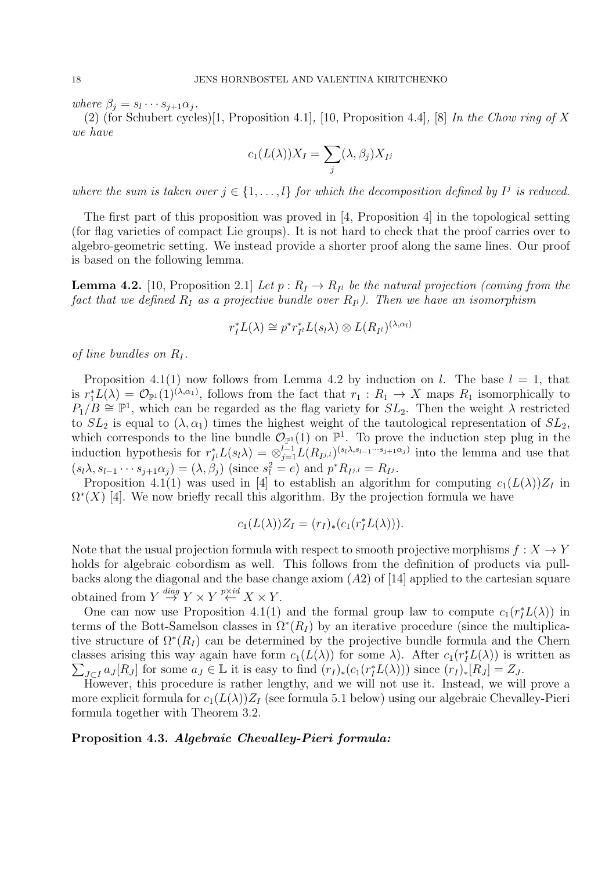where  $\beta_j = s_l \cdots s_{j+1} \alpha_j$ .

(2) (for Schubert cycles)[1, Proposition 4.1], [10, Proposition 4.4], [8] In the Chow ring of X we have

$$
c_1(L(\lambda))X_I = \sum_j (\lambda, \beta_j)X_{I^j}
$$

where the sum is taken over  $j \in \{1, ..., l\}$  for which the decomposition defined by  $I^j$  is reduced.

The first part of this proposition was proved in [4, Proposition 4] in the topological setting (for flag varieties of compact Lie groups). It is not hard to check that the proof carries over to algebro-geometric setting. We instead provide a shorter proof along the same lines. Our proof is based on the following lemma.

**Lemma 4.2.** [10, Proposition 2.1] Let  $p: R_I \to R_{I}$  be the natural projection (coming from the fact that we defined  $R_I$  as a projective bundle over  $R_{I^l}$ ). Then we have an isomorphism

$$
r_I^*L(\lambda) \cong p^*r_{I^l}^*L(s_l\lambda) \otimes L(R_{I^l})^{(\lambda,\alpha_l)}
$$

of line bundles on  $R_I$ .

Proposition 4.1(1) now follows from Lemma 4.2 by induction on l. The base  $l = 1$ , that is  $r_1^*L(\lambda) = \mathcal{O}_{\mathbb{P}^1}(1)^{(\lambda,\alpha_1)}$ , follows from the fact that  $r_1 : R_1 \to X$  maps  $R_1$  isomorphically to  $P_1/B \cong \mathbb{P}^1$ , which can be regarded as the flag variety for  $SL_2$ . Then the weight  $\lambda$  restricted to  $SL_2$  is equal to  $(\lambda, \alpha_1)$  times the highest weight of the tautological representation of  $SL_2$ , which corresponds to the line bundle  $\mathcal{O}_{\mathbb{P}^1}(1)$  on  $\mathbb{P}^1$ . To prove the induction step plug in the induction hypothesis for  $r_t^*$  $I_{I}^{*}L(s_{l}\lambda) = \otimes_{j=1}^{l-1}L(R_{I^{j,l}})^{(s_{l}\lambda,s_{l-1}\cdots s_{j+1}\alpha_j)}$  into the lemma and use that  $(s_l\lambda, s_{l-1}\cdots s_{j+1}\alpha_j) = (\lambda, \beta_j)$  (since  $s_l^2 = e$ ) and  $p^*R_{I^{j,l}} = R_{I^j}$ .

Proposition 4.1(1) was used in [4] to establish an algorithm for computing  $c_1(L(\lambda))Z_I$  in  $\Omega^*(X)$  [4]. We now briefly recall this algorithm. By the projection formula we have

$$
c_1(L(\lambda))Z_I = (r_I)_*(c_1(r_I^*L(\lambda))).
$$

Note that the usual projection formula with respect to smooth projective morphisms  $f: X \to Y$ holds for algebraic cobordism as well. This follows from the definition of products via pullbacks along the diagonal and the base change axiom  $(A2)$  of [14] applied to the cartesian square obtained from  $Y \stackrel{diag}{\rightarrow} Y \times Y \stackrel{p \times id}{\leftarrow} X \times Y$ .

One can now use Proposition 4.1(1) and the formal group law to compute  $c_1(r_I^*L(\lambda))$  in terms of the Bott-Samelson classes in  $\Omega^*(R_I)$  by an iterative procedure (since the multiplicative structure of  $\Omega^*(R_I)$  can be determined by the projective bundle formula and the Chern classes arising this way again have form  $c_1(L(\lambda))$  for some  $\lambda$ ). After  $c_1(r_I^*L(\lambda))$  is written as  $\sum_{J \subset I} a_J [R_J]$  for some  $a_J \in \mathbb{L}$  it is easy to find  $(r_I)_*(c_1(r_I^* L(\lambda)))$  since  $(r_I)_*[R_J] = Z_J$ .

However, this procedure is rather lengthy, and we will not use it. Instead, we will prove a more explicit formula for  $c_1(L(\lambda))Z_I$  (see formula 5.1 below) using our algebraic Chevalley-Pieri formula together with Theorem 3.2.

# Proposition 4.3. Algebraic Chevalley-Pieri formula: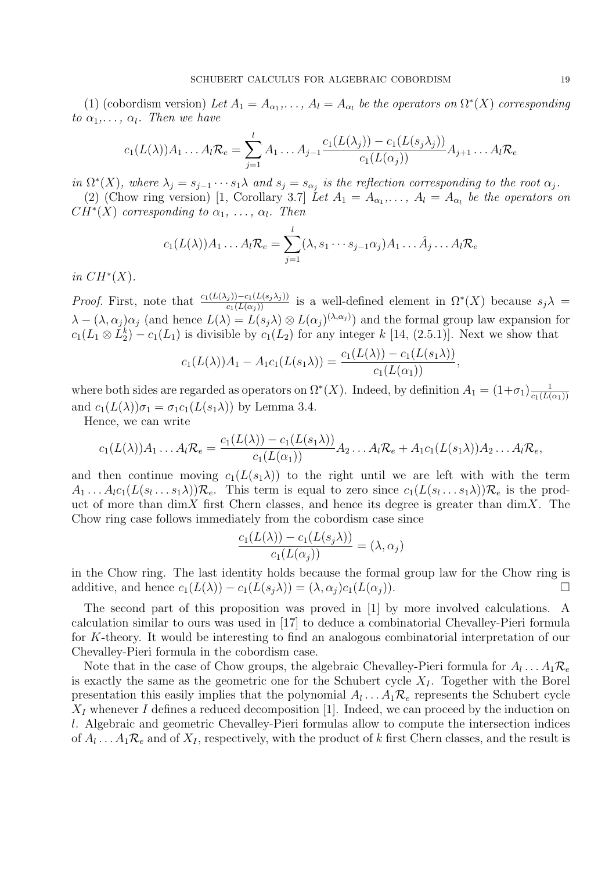(1) (cobordism version) Let  $A_1 = A_{\alpha_1}, \ldots, A_l = A_{\alpha_l}$  be the operators on  $\Omega^*(X)$  corresponding to  $\alpha_1, \ldots, \alpha_l$ . Then we have

$$
c_1(L(\lambda))A_1 \dots A_l \mathcal{R}_e = \sum_{j=1}^l A_1 \dots A_{j-1} \frac{c_1(L(\lambda_j)) - c_1(L(s_j \lambda_j))}{c_1(L(\alpha_j))} A_{j+1} \dots A_l \mathcal{R}_e
$$

in  $\Omega^*(X)$ , where  $\lambda_j = s_{j-1} \cdots s_1 \lambda$  and  $s_j = s_{\alpha_j}$  is the reflection corresponding to the root  $\alpha_j$ .

(2) (Chow ring version) [1, Corollary 3.7] Let  $A_1 = A_{\alpha_1}, \ldots, A_l = A_{\alpha_l}$  be the operators on  $CH<sup>*</sup>(X)$  corresponding to  $\alpha_1, \ldots, \alpha_l$ . Then

$$
c_1(L(\lambda))A_1 \dots A_l \mathcal{R}_e = \sum_{j=1}^l (\lambda, s_1 \cdots s_{j-1} \alpha_j) A_1 \dots \hat{A}_j \dots A_l \mathcal{R}_e
$$

in  $CH^*(X)$ .

*Proof.* First, note that  $\frac{c_1(L(\lambda_j)) - c_1(L(s_j\lambda_j))}{c_1(L(\alpha_j))}$  is a well-defined element in  $\Omega^*(X)$  because  $s_j\lambda =$  $\lambda - (\lambda, \alpha_j)\alpha_j$  (and hence  $L(\lambda) = L(s_j\lambda) \otimes L(\alpha_j)^{(\lambda, \alpha_j)}$ ) and the formal group law expansion for  $c_1(L_1 \otimes L_2^k) - c_1(L_1)$  is divisible by  $c_1(L_2)$  for any integer k [14, (2.5.1)]. Next we show that

$$
c_1(L(\lambda))A_1 - A_1c_1(L(s_1\lambda)) = \frac{c_1(L(\lambda)) - c_1(L(s_1\lambda))}{c_1(L(\alpha_1))},
$$

where both sides are regarded as operators on  $\Omega^*(X)$ . Indeed, by definition  $A_1 = (1+\sigma_1) \frac{1}{\sigma_1(L)}$  $c_1(L(\alpha_1))$ and  $c_1(L(\lambda))\sigma_1 = \sigma_1c_1(L(s_1\lambda))$  by Lemma 3.4.

Hence, we can write

$$
c_1(L(\lambda))A_1 \dots A_l \mathcal{R}_e = \frac{c_1(L(\lambda)) - c_1(L(s_1\lambda))}{c_1(L(\alpha_1))} A_2 \dots A_l \mathcal{R}_e + A_1 c_1(L(s_1\lambda)) A_2 \dots A_l \mathcal{R}_e,
$$

and then continue moving  $c_1(L(s_1\lambda))$  to the right until we are left with with the term  $A_1 \ldots A_l c_1(L(s_l \ldots s_1 \lambda)) \mathcal{R}_e$ . This term is equal to zero since  $c_1(L(s_l \ldots s_1 \lambda)) \mathcal{R}_e$  is the product of more than dimX first Chern classes, and hence its degree is greater than dimX. The Chow ring case follows immediately from the cobordism case since

$$
\frac{c_1(L(\lambda)) - c_1(L(s_j\lambda))}{c_1(L(\alpha_j))} = (\lambda, \alpha_j)
$$

in the Chow ring. The last identity holds because the formal group law for the Chow ring is additive, and hence  $c_1(L(\lambda)) - c_1(L(s_i\lambda)) = (\lambda, \alpha_i)c_1(L(\alpha_i)).$ 

The second part of this proposition was proved in [1] by more involved calculations. A calculation similar to ours was used in [17] to deduce a combinatorial Chevalley-Pieri formula for K-theory. It would be interesting to find an analogous combinatorial interpretation of our Chevalley-Pieri formula in the cobordism case.

Note that in the case of Chow groups, the algebraic Chevalley-Pieri formula for  $A_l \dots A_1 \mathcal{R}_{\epsilon}$ is exactly the same as the geometric one for the Schubert cycle  $X_I$ . Together with the Borel presentation this easily implies that the polynomial  $A_l \dots A_1 \mathcal{R}_e$  represents the Schubert cycle  $X_I$  whenever I defines a reduced decomposition [1]. Indeed, we can proceed by the induction on l. Algebraic and geometric Chevalley-Pieri formulas allow to compute the intersection indices of  $A_l \dots A_1 \mathcal{R}_e$  and of  $X_I$ , respectively, with the product of k first Chern classes, and the result is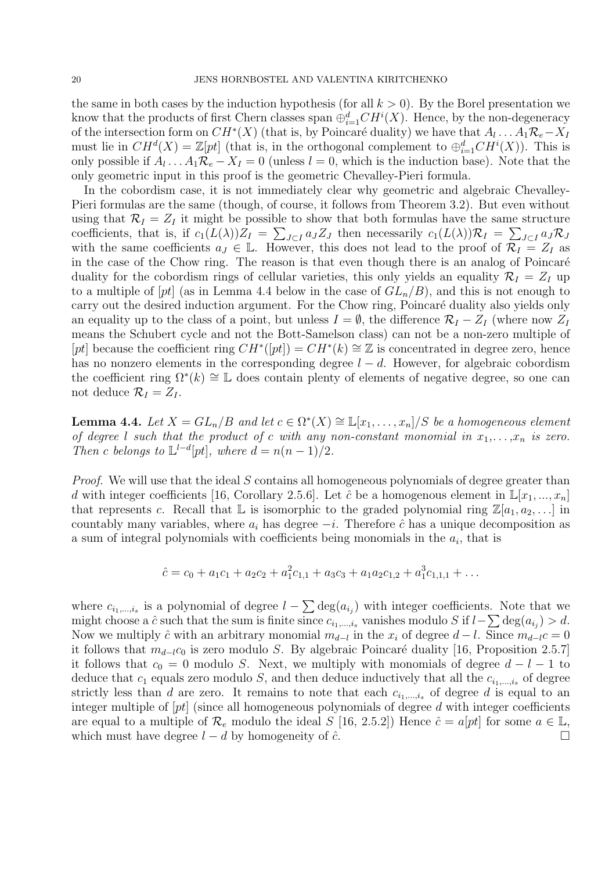the same in both cases by the induction hypothesis (for all  $k > 0$ ). By the Borel presentation we know that the products of first Chern classes span  $\bigoplus_{i=1}^d CH^i(X)$ . Hence, by the non-degeneracy of the intersection form on  $CH^*(X)$  (that is, by Poincaré duality) we have that  $A_l \dots A_1 \mathcal{R}_e - X_l$ must lie in  $CH^d(X) = \mathbb{Z}[pt]$  (that is, in the orthogonal complement to  $\bigoplus_{i=1}^d CH^i(X)$ ). This is only possible if  $A_l \dots A_1 \mathcal{R}_e - X_I = 0$  (unless  $l = 0$ , which is the induction base). Note that the only geometric input in this proof is the geometric Chevalley-Pieri formula.

In the cobordism case, it is not immediately clear why geometric and algebraic Chevalley-Pieri formulas are the same (though, of course, it follows from Theorem 3.2). But even without using that  $\mathcal{R}_I = Z_I$  it might be possible to show that both formulas have the same structure coefficients, that is, if  $c_1(L(\lambda))Z_I = \sum_{J\subset I} a_J Z_J$  then necessarily  $c_1(L(\lambda))\mathcal{R}_I = \sum_{J\subset I} a_J \mathcal{R}_J$ with the same coefficients  $a_J \in \mathbb{L}$ . However, this does not lead to the proof of  $\mathcal{R}_I = Z_I$  as in the case of the Chow ring. The reason is that even though there is an analog of Poincaré duality for the cobordism rings of cellular varieties, this only yields an equality  $\mathcal{R}_I = Z_I$  up to a multiple of  $[pt]$  (as in Lemma 4.4 below in the case of  $GL_n/B$ ), and this is not enough to carry out the desired induction argument. For the Chow ring, Poincaré duality also yields only an equality up to the class of a point, but unless  $I = \emptyset$ , the difference  $\mathcal{R}_I - Z_I$  (where now  $Z_I$ means the Schubert cycle and not the Bott-Samelson class) can not be a non-zero multiple of [pt] because the coefficient ring  $CH^*(pt]) = CH^*(k) \cong \mathbb{Z}$  is concentrated in degree zero, hence has no nonzero elements in the corresponding degree  $l - d$ . However, for algebraic cobordism the coefficient ring  $\Omega^*(k) \cong \mathbb{L}$  does contain plenty of elements of negative degree, so one can not deduce  $\mathcal{R}_I = Z_I$ .

**Lemma 4.4.** Let  $X = GL_n/B$  and let  $c \in \Omega^*(X) \cong \mathbb{L}[x_1,\ldots,x_n]/S$  be a homogeneous element of degree l such that the product of c with any non-constant monomial in  $x_1, \ldots, x_n$  is zero. Then c belongs to  $\mathbb{L}^{l-d}[pt]$ , where  $d = n(n-1)/2$ .

Proof. We will use that the ideal S contains all homogeneous polynomials of degree greater than d with integer coefficients [16, Corollary 2.5.6]. Let  $\hat{c}$  be a homogenous element in  $\mathbb{L}[x_1, ..., x_n]$ that represents c. Recall that L is isomorphic to the graded polynomial ring  $\mathbb{Z}[a_1, a_2, \ldots]$  in countably many variables, where  $a_i$  has degree  $-i$ . Therefore  $\hat{c}$  has a unique decomposition as a sum of integral polynomials with coefficients being monomials in the  $a_i$ , that is

$$
\hat{c} = c_0 + a_1c_1 + a_2c_2 + a_1^2c_{1,1} + a_3c_3 + a_1a_2c_{1,2} + a_1^3c_{1,1,1} + \dots
$$

where  $c_{i_1,\dots,i_s}$  is a polynomial of degree  $l-\sum \deg(a_{i_j})$  with integer coefficients. Note that we might choose a  $\hat{c}$  such that the sum is finite since  $c_{i_1,...,i_s}$  vanishes modulo S if  $l-\sum \text{deg}(a_{i_j}) > d$ . Now we multiply  $\hat{c}$  with an arbitrary monomial  $m_{d-l}$  in the  $x_i$  of degree  $d-l$ . Since  $m_{d-l}c=0$ it follows that  $m_{d-l}c_0$  is zero modulo S. By algebraic Poincaré duality [16, Proposition 2.5.7] it follows that  $c_0 = 0$  modulo S. Next, we multiply with monomials of degree  $d - l - 1$  to deduce that  $c_1$  equals zero modulo S, and then deduce inductively that all the  $c_{i_1,\dots,i_s}$  of degree strictly less than d are zero. It remains to note that each  $c_{i_1,\dots,i_s}$  of degree d is equal to an integer multiple of  $[pt]$  (since all homogeneous polynomials of degree d with integer coefficients are equal to a multiple of  $\mathcal{R}_e$  modulo the ideal S [16, 2.5.2]) Hence  $\hat{c} = a[pt]$  for some  $a \in \mathbb{L}$ , which must have degree  $l - d$  by homogeneity of  $\hat{c}$ .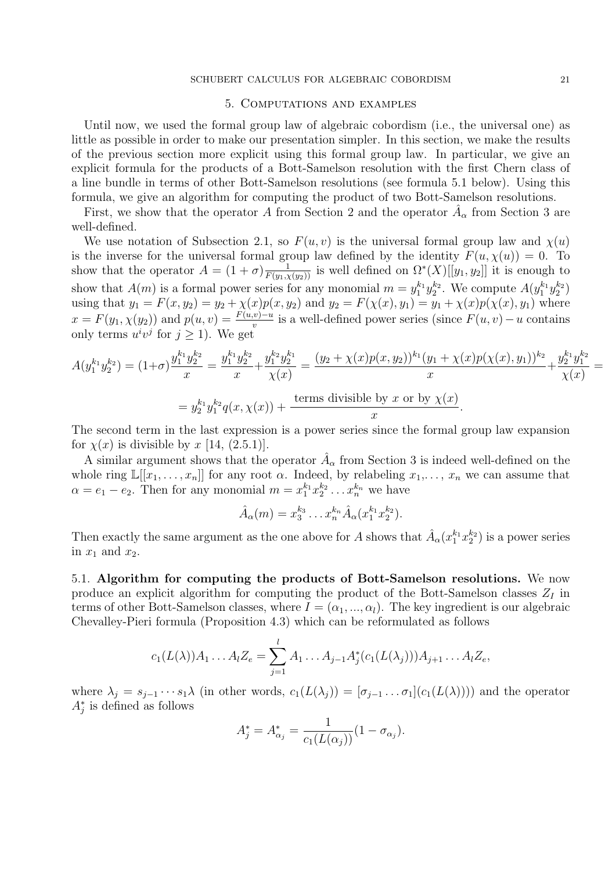#### 5. Computations and examples

Until now, we used the formal group law of algebraic cobordism (i.e., the universal one) as little as possible in order to make our presentation simpler. In this section, we make the results of the previous section more explicit using this formal group law. In particular, we give an explicit formula for the products of a Bott-Samelson resolution with the first Chern class of a line bundle in terms of other Bott-Samelson resolutions (see formula 5.1 below). Using this formula, we give an algorithm for computing the product of two Bott-Samelson resolutions.

First, we show that the operator A from Section 2 and the operator  $\hat{A}_{\alpha}$  from Section 3 are well-defined.

We use notation of Subsection 2.1, so  $F(u, v)$  is the universal formal group law and  $\chi(u)$ is the inverse for the universal formal group law defined by the identity  $F(u, \chi(u)) = 0$ . To show that the operator  $A = (1 + \sigma) \frac{1}{F(y_1, \chi(y_2))}$  is well defined on  $\Omega^*(X)[[y_1, y_2]]$  it is enough to show that  $A(m)$  is a formal power series for any monomial  $m = y_1^{k_1} y_2^{k_2}$ . We compute  $A(y_1^{k_1} y_2^{k_2})$ using that  $y_1 = F(x, y_2) = y_2 + \chi(x)p(x, y_2)$  and  $y_2 = F(\chi(x), y_1) = y_1 + \chi(x)p(\chi(x), y_1)$  where  $x = F(y_1, \chi(y_2))$  and  $p(u, v) = \frac{F(u,v)-u}{v}$  is a well-defined power series (since  $F(u, v) - u$  contains only terms  $u^i v^j$  for  $j \geq 1$ ). We get

$$
A(y_1^{k_1}y_2^{k_2}) = (1+\sigma)\frac{y_1^{k_1}y_2^{k_2}}{x} = \frac{y_1^{k_1}y_2^{k_2}}{x} + \frac{y_1^{k_2}y_2^{k_1}}{\chi(x)} = \frac{(y_2 + \chi(x)p(x, y_2))^{k_1}(y_1 + \chi(x)p(\chi(x), y_1))^{k_2}}{x} + \frac{y_2^{k_1}y_1^{k_2}}{\chi(x)} =
$$
  
=  $y_2^{k_1}y_1^{k_2}q(x, \chi(x)) + \frac{\text{terms divisible by } x \text{ or by } \chi(x)}{x}.$ 

The second term in the last expression is a power series since the formal group law expansion for  $\chi(x)$  is divisible by x [14, (2.5.1)].

A similar argument shows that the operator  $\hat{A}_{\alpha}$  from Section 3 is indeed well-defined on the whole ring  $\mathbb{L}[[x_1,\ldots,x_n]]$  for any root  $\alpha$ . Indeed, by relabeling  $x_1,\ldots,x_n$  we can assume that  $\alpha = e_1 - e_2$ . Then for any monomial  $m = x_1^{k_1} x_2^{k_2} \dots x_n^{k_n}$  we have

$$
\hat{A}_{\alpha}(m) = x_3^{k_3} \dots x_n^{k_n} \hat{A}_{\alpha}(x_1^{k_1} x_2^{k_2}).
$$

Then exactly the same argument as the one above for A shows that  $\hat{A}_{\alpha}(x_1^{k_1}x_2^{k_2})$  is a power series in  $x_1$  and  $x_2$ .

5.1. Algorithm for computing the products of Bott-Samelson resolutions. We now produce an explicit algorithm for computing the product of the Bott-Samelson classes  $Z_I$  in terms of other Bott-Samelson classes, where  $I = (\alpha_1, ..., \alpha_l)$ . The key ingredient is our algebraic Chevalley-Pieri formula (Proposition 4.3) which can be reformulated as follows

$$
c_1(L(\lambda))A_1 \dots A_l Z_e = \sum_{j=1}^l A_1 \dots A_{j-1} A_j^*(c_1(L(\lambda_j)))A_{j+1} \dots A_l Z_e,
$$

where  $\lambda_j = s_{j-1} \cdots s_1 \lambda$  (in other words,  $c_1(L(\lambda_j)) = [\sigma_{j-1} \ldots \sigma_1](c_1(L(\lambda)))$ ) and the operator  $A_j^*$  is defined as follows

$$
A_j^* = A_{\alpha_j}^* = \frac{1}{c_1(L(\alpha_j))}(1 - \sigma_{\alpha_j}).
$$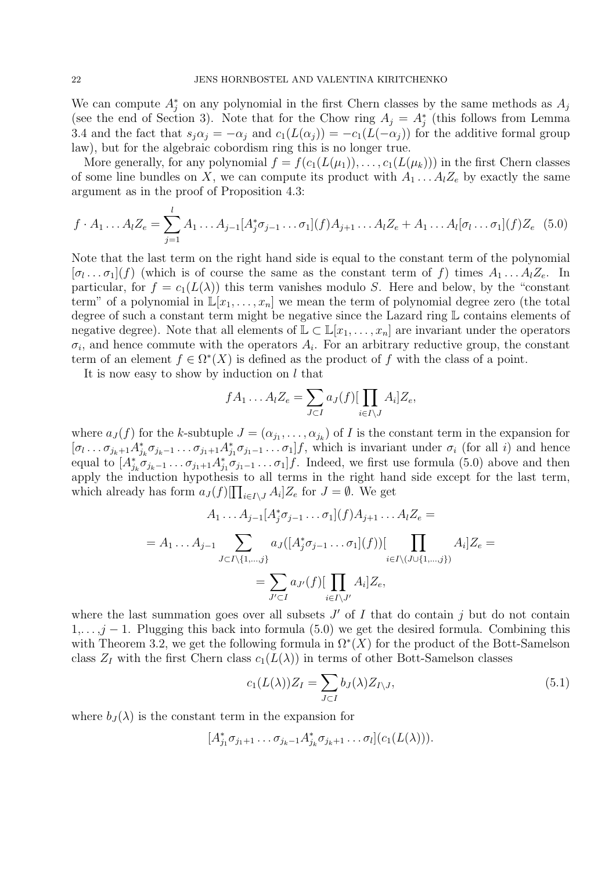We can compute  $A_j^*$  on any polynomial in the first Chern classes by the same methods as  $A_j$ (see the end of Section 3). Note that for the Chow ring  $A_j = A_j^*$  (this follows from Lemma 3.4 and the fact that  $s_i\alpha_j = -\alpha_j$  and  $c_1(L(\alpha_j)) = -c_1(L(-\alpha_j))$  for the additive formal group law), but for the algebraic cobordism ring this is no longer true.

More generally, for any polynomial  $f = f(c_1(L(\mu_1)), \ldots, c_1(L(\mu_k)))$  in the first Chern classes of some line bundles on X, we can compute its product with  $A_1 \dots A_l Z_e$  by exactly the same argument as in the proof of Proposition 4.3:

$$
f \cdot A_1 \dots A_l Z_e = \sum_{j=1}^l A_1 \dots A_{j-1} [A_j^* \sigma_{j-1} \dots \sigma_1](f) A_{j+1} \dots A_l Z_e + A_1 \dots A_l [\sigma_l \dots \sigma_1](f) Z_e \quad (5.0)
$$

Note that the last term on the right hand side is equal to the constant term of the polynomial  $[\sigma_l \dots \sigma_1](f)$  (which is of course the same as the constant term of f) times  $A_1 \dots A_l Z_e$ . In particular, for  $f = c_1(L(\lambda))$  this term vanishes modulo S. Here and below, by the "constant" term" of a polynomial in  $\mathbb{L}[x_1,\ldots,x_n]$  we mean the term of polynomial degree zero (the total degree of such a constant term might be negative since the Lazard ring L contains elements of negative degree). Note that all elements of  $\mathbb{L} \subset \mathbb{L}[x_1,\ldots,x_n]$  are invariant under the operators  $\sigma_i$ , and hence commute with the operators  $A_i$ . For an arbitrary reductive group, the constant term of an element  $f \in \Omega^*(X)$  is defined as the product of f with the class of a point.

It is now easy to show by induction on  $l$  that

$$
f A_1 \dots A_l Z_e = \sum_{J \subset I} a_J(f) [\prod_{i \in I \setminus J} A_i] Z_e,
$$

where  $a_J(f)$  for the k-subtuple  $J = (\alpha_{j_1}, \ldots, \alpha_{j_k})$  of I is the constant term in the expansion for  $[\sigma_1 \ldots \sigma_{j_k+1} A_{j_k}^* \sigma_{j_k-1} \ldots \sigma_{j_1+1} A_{j_1}^* \sigma_{j_1-1} \ldots \sigma_1] f$ , which is invariant under  $\sigma_i$  (for all i) and hence equal to  $[A_{j_k}^* \sigma_{j_{k-1}} \dots \sigma_{j_1+1} A_{j_1}^* \sigma_{j_1-1} \dots \sigma_1] f$ . Indeed, we first use formula (5.0) above and then apply the induction hypothesis to all terms in the right hand side except for the last term, which already has form  $a_J(f)[\prod_{i\in I\setminus J} A_i]Z_e$  for  $J=\emptyset$ . We get

$$
A_1 \dots A_{j-1} [A_j^* \sigma_{j-1} \dots \sigma_1](f) A_{j+1} \dots A_l Z_e =
$$
  
=  $A_1 \dots A_{j-1} \sum_{J \subset I \setminus \{1, \dots, j\}} a_J([A_j^* \sigma_{j-1} \dots \sigma_1](f)) [\prod_{i \in I \setminus (J \cup \{1, \dots, j\})} A_i] Z_e =$   
=  $\sum_{J' \subset I} a_{J'}(f) [\prod_{i \in I \setminus J'} A_i] Z_e$ ,

where the last summation goes over all subsets  $J'$  of  $I$  that do contain  $j$  but do not contain  $1, \ldots, j-1$ . Plugging this back into formula (5.0) we get the desired formula. Combining this with Theorem 3.2, we get the following formula in  $\Omega^*(X)$  for the product of the Bott-Samelson class  $Z_I$  with the first Chern class  $c_1(L(\lambda))$  in terms of other Bott-Samelson classes

$$
c_1(L(\lambda))Z_I = \sum_{J \subset I} b_J(\lambda)Z_{I \setminus J},\tag{5.1}
$$

where  $b_J(\lambda)$  is the constant term in the expansion for

$$
[A_{j_1}^*\sigma_{j_1+1}\dots\sigma_{j_k-1}A_{j_k}^*\sigma_{j_k+1}\dots\sigma_l](c_1(L(\lambda))).
$$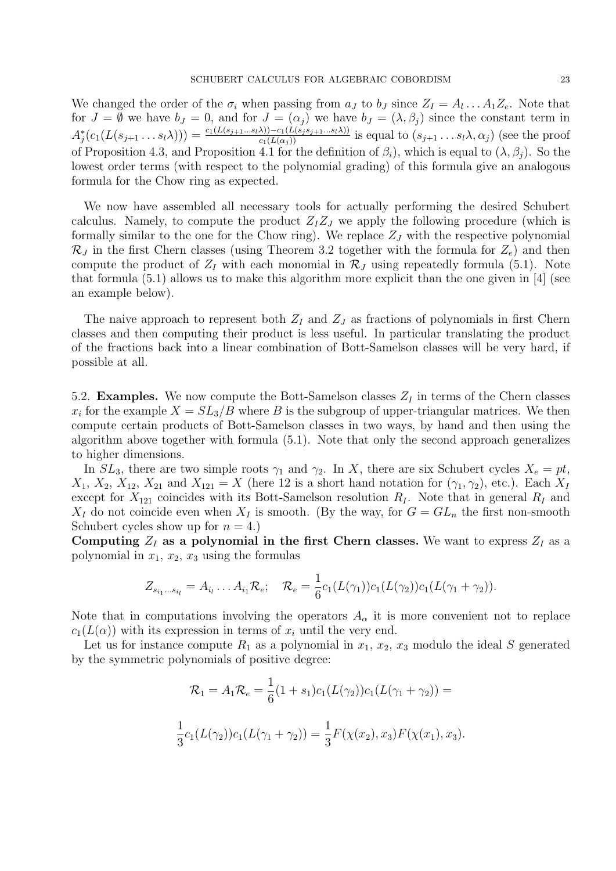We changed the order of the  $\sigma_i$  when passing from  $a_J$  to  $b_J$  since  $Z_I = A_l \dots A_1 Z_e$ . Note that for  $J = \emptyset$  we have  $b_J = 0$ , and for  $J = (\alpha_j)$  we have  $b_J = (\lambda, \beta_j)$  since the constant term in  $A_j^*(c_1(L(s_{j+1}\ldots s_l\lambda))) = \frac{c_1(L(s_{j+1}\ldots s_l\lambda)) - c_1(L(s_j s_{j+1}\ldots s_l\lambda))}{c_1(L(\alpha_j))}$  is equal to  $(s_{j+1}\ldots s_l\lambda, \alpha_j)$  (see the proof  $\Delta_j$ ( $c_1(L(s_{j+1} \ldots s_l \Delta_l))$  –  $\Delta_l(L(\alpha_j))$  is equal to  $(s_{j+1} \ldots s_l \Delta_l \Delta_j)$  (see the proof<br>of Proposition 4.3, and Proposition 4.1 for the definition of  $\beta_i$ ), which is equal to  $(\lambda, \beta_i)$ . So the lowest order terms (with respect to the polynomial grading) of this formula give an analogous formula for the Chow ring as expected.

We now have assembled all necessary tools for actually performing the desired Schubert calculus. Namely, to compute the product  $Z_1Z_J$  we apply the following procedure (which is formally similar to the one for the Chow ring). We replace  $Z_J$  with the respective polynomial  $\mathcal{R}_J$  in the first Chern classes (using Theorem 3.2 together with the formula for  $Z_e$ ) and then compute the product of  $Z_I$  with each monomial in  $\mathcal{R}_J$  using repeatedly formula (5.1). Note that formula (5.1) allows us to make this algorithm more explicit than the one given in [4] (see an example below).

The naive approach to represent both  $Z_I$  and  $Z_J$  as fractions of polynomials in first Chern classes and then computing their product is less useful. In particular translating the product of the fractions back into a linear combination of Bott-Samelson classes will be very hard, if possible at all.

5.2. **Examples.** We now compute the Bott-Samelson classes  $Z_I$  in terms of the Chern classes  $x_i$  for the example  $X = SL_3/B$  where B is the subgroup of upper-triangular matrices. We then compute certain products of Bott-Samelson classes in two ways, by hand and then using the algorithm above together with formula (5.1). Note that only the second approach generalizes to higher dimensions.

In  $SL_3$ , there are two simple roots  $\gamma_1$  and  $\gamma_2$ . In X, there are six Schubert cycles  $X_e = pt$ ,  $X_1, X_2, X_{12}, X_{21}$  and  $X_{121} = X$  (here 12 is a short hand notation for  $(\gamma_1, \gamma_2)$ , etc.). Each  $X_I$ except for  $X_{121}$  coincides with its Bott-Samelson resolution  $R_I$ . Note that in general  $R_I$  and  $X_I$  do not coincide even when  $X_I$  is smooth. (By the way, for  $G = GL_n$  the first non-smooth Schubert cycles show up for  $n = 4$ .

Computing  $Z_I$  as a polynomial in the first Chern classes. We want to express  $Z_I$  as a polynomial in  $x_1, x_2, x_3$  using the formulas

$$
Z_{s_{i_1}...s_{i_l}} = A_{i_l}...A_{i_1} \mathcal{R}_e; \quad \mathcal{R}_e = \frac{1}{6} c_1(L(\gamma_1))c_1(L(\gamma_2))c_1(L(\gamma_1 + \gamma_2)).
$$

Note that in computations involving the operators  $A_{\alpha}$  it is more convenient not to replace  $c_1(L(\alpha))$  with its expression in terms of  $x_i$  until the very end.

Let us for instance compute  $R_1$  as a polynomial in  $x_1, x_2, x_3$  modulo the ideal S generated by the symmetric polynomials of positive degree:

$$
\mathcal{R}_1 = A_1 \mathcal{R}_e = \frac{1}{6} (1 + s_1) c_1(L(\gamma_2)) c_1(L(\gamma_1 + \gamma_2)) =
$$
  

$$
\frac{1}{3} c_1(L(\gamma_2)) c_1(L(\gamma_1 + \gamma_2)) = \frac{1}{3} F(\chi(x_2), x_3) F(\chi(x_1), x_3).
$$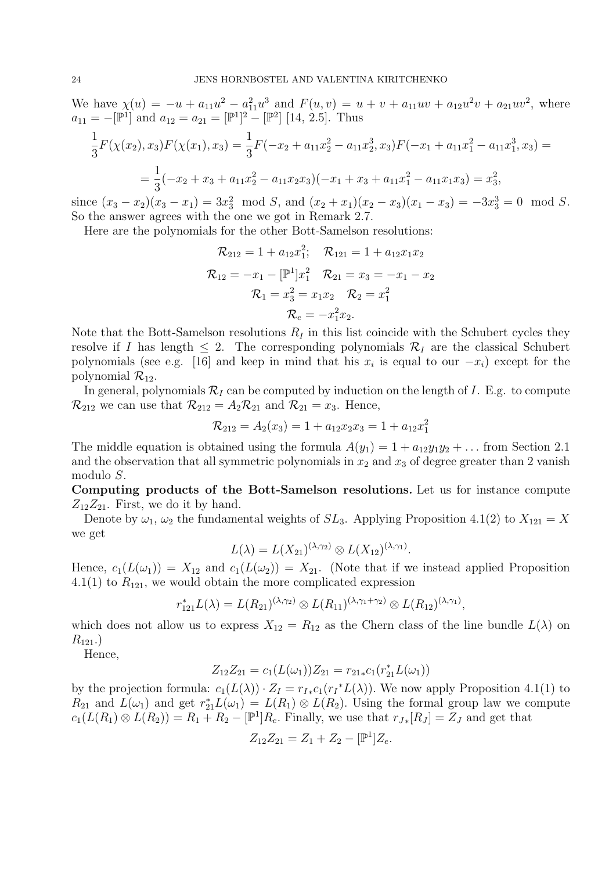We have  $\chi(u) = -u + a_{11}u^2 - a_{11}^2u^3$  and  $F(u, v) = u + v + a_{11}uv + a_{12}u^2v + a_{21}uv^2$ , where  $a_{11} = -[\mathbb{P}^1]$  and  $a_{12} = a_{21} = [\mathbb{P}^1]^2 - [\mathbb{P}^2]$  [14, 2.5]. Thus

$$
\frac{1}{3}F(\chi(x_2), x_3)F(\chi(x_1), x_3) = \frac{1}{3}F(-x_2 + a_{11}x_2^2 - a_{11}x_2^3, x_3)F(-x_1 + a_{11}x_1^2 - a_{11}x_1^3, x_3) =
$$
\n
$$
= \frac{1}{3}(-x_2 + x_3 + a_{11}x_2^2 - a_{11}x_2x_3)(-x_1 + x_3 + a_{11}x_1^2 - a_{11}x_1x_3) = x_3^2,
$$

since  $(x_3 - x_2)(x_3 - x_1) = 3x_3^2 \mod S$ , and  $(x_2 + x_1)(x_2 - x_3)(x_1 - x_3) = -3x_3^3 = 0 \mod S$ . So the answer agrees with the one we got in Remark 2.7.

Here are the polynomials for the other Bott-Samelson resolutions:

$$
\mathcal{R}_{212} = 1 + a_{12}x_1^2; \quad \mathcal{R}_{121} = 1 + a_{12}x_1x_2
$$

$$
\mathcal{R}_{12} = -x_1 - [\mathbb{P}^1]x_1^2 \quad \mathcal{R}_{21} = x_3 = -x_1 - x_2
$$

$$
\mathcal{R}_1 = x_3^2 = x_1x_2 \quad \mathcal{R}_2 = x_1^2
$$

$$
\mathcal{R}_e = -x_1^2x_2.
$$

Note that the Bott-Samelson resolutions  $R_I$  in this list coincide with the Schubert cycles they resolve if I has length  $\leq 2$ . The corresponding polynomials  $\mathcal{R}_I$  are the classical Schubert polynomials (see e.g. [16] and keep in mind that his  $x_i$  is equal to our  $-x_i$ ) except for the polynomial  $\mathcal{R}_{12}$ .

In general, polynomials  $\mathcal{R}_I$  can be computed by induction on the length of I. E.g. to compute  $\mathcal{R}_{212}$  we can use that  $\mathcal{R}_{212} = A_2 \mathcal{R}_{21}$  and  $\mathcal{R}_{21} = x_3$ . Hence,

$$
\mathcal{R}_{212} = A_2(x_3) = 1 + a_{12}x_2x_3 = 1 + a_{12}x_1^2
$$

The middle equation is obtained using the formula  $A(y_1) = 1 + a_{12}y_1y_2 + \dots$  from Section 2.1 and the observation that all symmetric polynomials in  $x_2$  and  $x_3$  of degree greater than 2 vanish modulo S.

Computing products of the Bott-Samelson resolutions. Let us for instance compute  $Z_{12}Z_{21}$ . First, we do it by hand.

Denote by  $\omega_1$ ,  $\omega_2$  the fundamental weights of  $SL_3$ . Applying Proposition 4.1(2) to  $X_{121} = X$ we get

$$
L(\lambda) = L(X_{21})^{(\lambda,\gamma_2)} \otimes L(X_{12})^{(\lambda,\gamma_1)}.
$$

Hence,  $c_1(L(\omega_1)) = X_{12}$  and  $c_1(L(\omega_2)) = X_{21}$ . (Note that if we instead applied Proposition 4.1(1) to  $R_{121}$ , we would obtain the more complicated expression

$$
r_{121}^*L(\lambda) = L(R_{21})^{(\lambda,\gamma_2)} \otimes L(R_{11})^{(\lambda,\gamma_1+\gamma_2)} \otimes L(R_{12})^{(\lambda,\gamma_1)},
$$

which does not allow us to express  $X_{12} = R_{12}$  as the Chern class of the line bundle  $L(\lambda)$  on  $R_{121}$ .

Hence,

$$
Z_{12}Z_{21} = c_1(L(\omega_1))Z_{21} = r_{21*}c_1(r_{21}^*L(\omega_1))
$$

by the projection formula:  $c_1(L(\lambda)) \cdot Z_I = r_{I*}c_1(r_I^*L(\lambda))$ . We now apply Proposition 4.1(1) to  $R_{21}$  and  $L(\omega_1)$  and get  $r_{21}^*L(\omega_1) = L(R_1) \otimes L(R_2)$ . Using the formal group law we compute  $c_1(L(R_1) \otimes L(R_2)) = R_1 + R_2 - [\mathbb{P}^1]R_e$ . Finally, we use that  $r_{J*}[R_J] = Z_J$  and get that

$$
Z_{12}Z_{21} = Z_1 + Z_2 - [\mathbb{P}^1]Z_e.
$$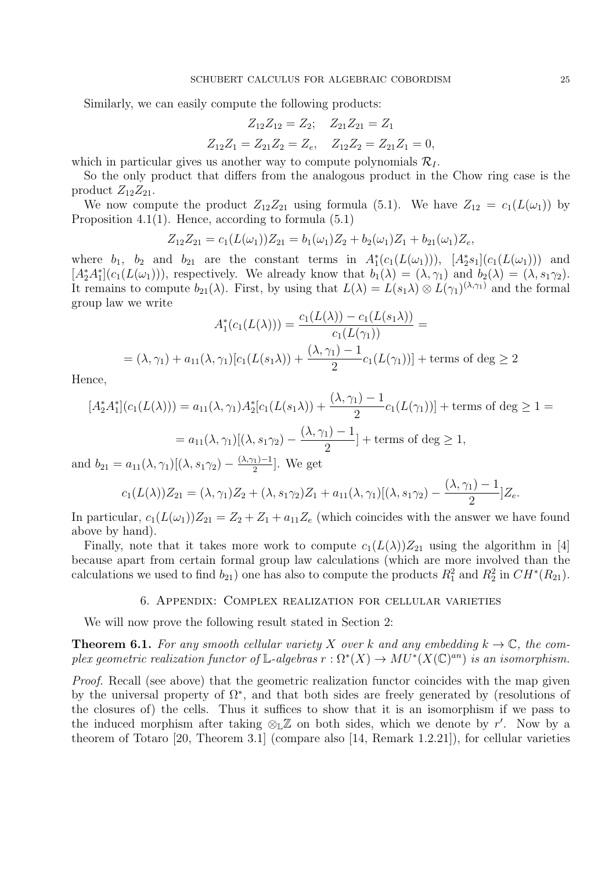Similarly, we can easily compute the following products:

$$
Z_{12}Z_{12} = Z_2; \quad Z_{21}Z_{21} = Z_1
$$
  

$$
Z_{12}Z_1 = Z_{21}Z_2 = Z_e, \quad Z_{12}Z_2 = Z_{21}Z_1 = 0,
$$

which in particular gives us another way to compute polynomials  $\mathcal{R}_I$ .

So the only product that differs from the analogous product in the Chow ring case is the product  $Z_{12}Z_{21}$ .

We now compute the product  $Z_{12}Z_{21}$  using formula (5.1). We have  $Z_{12} = c_1(L(\omega_1))$  by Proposition 4.1(1). Hence, according to formula  $(5.1)$ 

$$
Z_{12}Z_{21} = c_1(L(\omega_1))Z_{21} = b_1(\omega_1)Z_2 + b_2(\omega_1)Z_1 + b_{21}(\omega_1)Z_e,
$$

where  $b_1$ ,  $b_2$  and  $b_{21}$  are the constant terms in  $A_1^*(c_1(L(\omega_1)))$ ,  $[A_2^*s_1](c_1(L(\omega_1)))$  and  $[A_2^*A_1^*](c_1(L(\omega_1))),$  respectively. We already know that  $b_1(\lambda) = (\lambda, \gamma_1)$  and  $b_2(\lambda) = (\lambda, s_1\gamma_2)$ . It remains to compute  $b_{21}(\lambda)$ . First, by using that  $L(\lambda) = L(s_1\lambda) \otimes L(\gamma_1)^{(\lambda,\gamma_1)}$  and the formal group law we write

$$
A_1^*(c_1(L(\lambda))) = \frac{c_1(L(\lambda)) - c_1(L(s_1\lambda))}{c_1(L(\gamma_1))} =
$$
  
=  $(\lambda, \gamma_1) + a_{11}(\lambda, \gamma_1)[c_1(L(s_1\lambda)) + \frac{(\lambda, \gamma_1) - 1}{2}c_1(L(\gamma_1))] + \text{terms of } \deg \ge 2$ 

Hence,

$$
[A_2^* A_1^*](c_1(L(\lambda))) = a_{11}(\lambda, \gamma_1) A_2^* [c_1(L(s_1 \lambda)) + \frac{(\lambda, \gamma_1) - 1}{2} c_1(L(\gamma_1))] + \text{terms of } \deg \ge 1 =
$$
  
=  $a_{11}(\lambda, \gamma_1) [(\lambda, s_1 \gamma_2) - \frac{(\lambda, \gamma_1) - 1}{2}] + \text{terms of } \deg \ge 1,$ 

and  $b_{21} = a_{11}(\lambda, \gamma_1)[(\lambda, s_1 \gamma_2) - \frac{(\lambda, \gamma_1) - 1}{2}]$  $\frac{(1)}{2}$ . We get

$$
c_1(L(\lambda))Z_{21} = (\lambda, \gamma_1)Z_2 + (\lambda, s_1\gamma_2)Z_1 + a_{11}(\lambda, \gamma_1)[(\lambda, s_1\gamma_2) - \frac{(\lambda, \gamma_1) - 1}{2}]Z_e.
$$

In particular,  $c_1(L(\omega_1))Z_{21} = Z_2 + Z_1 + a_{11}Z_e$  (which coincides with the answer we have found above by hand).

Finally, note that it takes more work to compute  $c_1(L(\lambda))Z_{21}$  using the algorithm in [4] because apart from certain formal group law calculations (which are more involved than the calculations we used to find  $b_{21}$  one has also to compute the products  $R_1^2$  and  $R_2^2$  in  $CH^*(R_{21})$ .

# 6. Appendix: Complex realization for cellular varieties

We will now prove the following result stated in Section 2:

**Theorem 6.1.** For any smooth cellular variety X over k and any embedding  $k \to \mathbb{C}$ , the complex geometric realization functor of L-algebras  $r : \Omega^*(X) \to MU^*(X(\mathbb{C})^{an})$  is an isomorphism.

Proof. Recall (see above) that the geometric realization functor coincides with the map given by the universal property of  $\Omega^*$ , and that both sides are freely generated by (resolutions of the closures of) the cells. Thus it suffices to show that it is an isomorphism if we pass to the induced morphism after taking  $\mathcal{L} \mathbb{Z}$  on both sides, which we denote by r'. Now by a theorem of Totaro [20, Theorem 3.1] (compare also [14, Remark 1.2.21]), for cellular varieties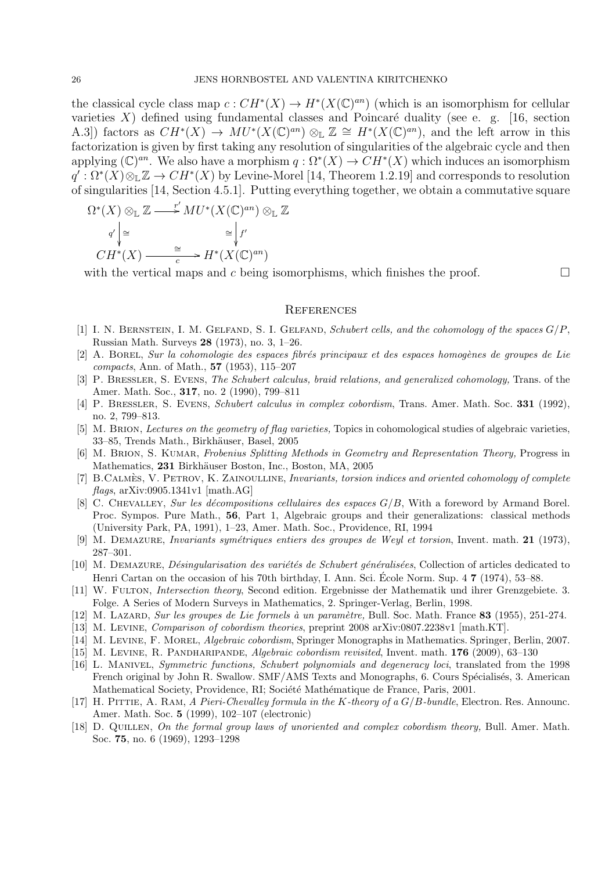the classical cycle class map  $c: CH^*(X) \to H^*(X(\mathbb{C})^{an})$  (which is an isomorphism for cellular varieties X) defined using fundamental classes and Poincaré duality (see e. g. [16, section A.3) factors as  $CH^*(X) \to MU^*(X(\mathbb{C})^{an}) \otimes_{\mathbb{L}} \mathbb{Z} \cong H^*(X(\mathbb{C})^{an})$ , and the left arrow in this factorization is given by first taking any resolution of singularities of the algebraic cycle and then applying  $(\mathbb{C})^{an}$ . We also have a morphism  $q : \Omega^*(X) \to CH^*(X)$  which induces an isomorphism  $q': \Omega^*(X) \otimes_{\mathbb{L}} \mathbb{Z} \to CH^*(X)$  by Levine-Morel [14, Theorem 1.2.19] and corresponds to resolution of singularities [14, Section 4.5.1]. Putting everything together, we obtain a commutative square

$$
\Omega^*(X) \otimes_{\mathbb{L}} \mathbb{Z} \longrightarrow^r MU^*(X(\mathbb{C})^{an}) \otimes_{\mathbb{L}} \mathbb{Z}
$$
  
\n
$$
q' \Big| \cong \qquad \cong \Big| f'
$$
  
\n
$$
CH^*(X) \longrightarrow^{\cong}_{c} H^*(X(\mathbb{C})^{an})
$$

with the vertical maps and c being isomorphisms, which finishes the proof.  $\Box$ 

# **REFERENCES**

- [1] I. N. BERNSTEIN, I. M. GELFAND, S. I. GELFAND, Schubert cells, and the cohomology of the spaces  $G/P$ , Russian Math. Surveys 28 (1973), no. 3, 1–26.
- [2] A. BOREL, Sur la cohomologie des espaces fibrés principaux et des espaces homogènes de groupes de Lie compacts, Ann. of Math., 57 (1953), 115–207
- [3] P. BRESSLER, S. EVENS, The Schubert calculus, braid relations, and generalized cohomology, Trans. of the Amer. Math. Soc., 317, no. 2 (1990), 799–811
- [4] P. BRESSLER, S. EVENS, Schubert calculus in complex cobordism, Trans. Amer. Math. Soc. 331 (1992), no. 2, 799–813.
- [5] M. BRION, Lectures on the geometry of flag varieties, Topics in cohomological studies of algebraic varieties, 33–85, Trends Math., Birkhäuser, Basel, 2005
- [6] M. BRION, S. KUMAR, Frobenius Splitting Methods in Geometry and Representation Theory, Progress in Mathematics, 231 Birkhäuser Boston, Inc., Boston, MA, 2005
- [7] B.CALMES, V. PETROV, K. ZAINOULLINE, *Invariants, torsion indices and oriented cohomology of complete*  $flags, arXiv:0905.1341v1$  [math.AG]
- [8] C. CHEVALLEY, Sur les décompositions cellulaires des espaces  $G/B$ , With a foreword by Armand Borel. Proc. Sympos. Pure Math., 56, Part 1, Algebraic groups and their generalizations: classical methods (University Park, PA, 1991), 1–23, Amer. Math. Soc., Providence, RI, 1994
- [9] M. DEMAZURE, Invariants symétriques entiers des groupes de Weyl et torsion, Invent. math. 21 (1973), 287–301.
- [10] M. DEMAZURE, *Désingularisation des variétés de Schubert généralisées*, Collection of articles dedicated to Henri Cartan on the occasion of his 70th birthday, I. Ann. Sci. École Norm. Sup. 4  $\mathbf{7}$  (1974), 53–88.
- [11] W. Fulton, Intersection theory, Second edition. Ergebnisse der Mathematik und ihrer Grenzgebiete. 3. Folge. A Series of Modern Surveys in Mathematics, 2. Springer-Verlag, Berlin, 1998.
- [12] M. Lazard, Sur les groupes de Lie formels à un paramètre, Bull. Soc. Math. France 83 (1955), 251-274.
- [13] M. Levine, Comparison of cobordism theories, preprint 2008 arXiv:0807.2238v1 [math.KT].
- [14] M. Levine, F. Morel, Algebraic cobordism, Springer Monographs in Mathematics. Springer, Berlin, 2007.
- [15] M. Levine, R. Pandharipande, Algebraic cobordism revisited, Invent. math. 176 (2009), 63–130
- [16] L. Manivel, Symmetric functions, Schubert polynomials and degeneracy loci, translated from the 1998 French original by John R. Swallow. SMF/AMS Texts and Monographs, 6. Cours Spécialisés, 3. American Mathematical Society, Providence, RI; Société Mathématique de France, Paris, 2001.
- [17] H. PITTIE, A. RAM, A Pieri-Chevalley formula in the K-theory of a  $G/B$ -bundle, Electron. Res. Announc. Amer. Math. Soc. 5 (1999), 102–107 (electronic)
- [18] D. QUILLEN, On the formal group laws of unoriented and complex cobordism theory, Bull. Amer. Math. Soc. 75, no. 6 (1969), 1293–1298